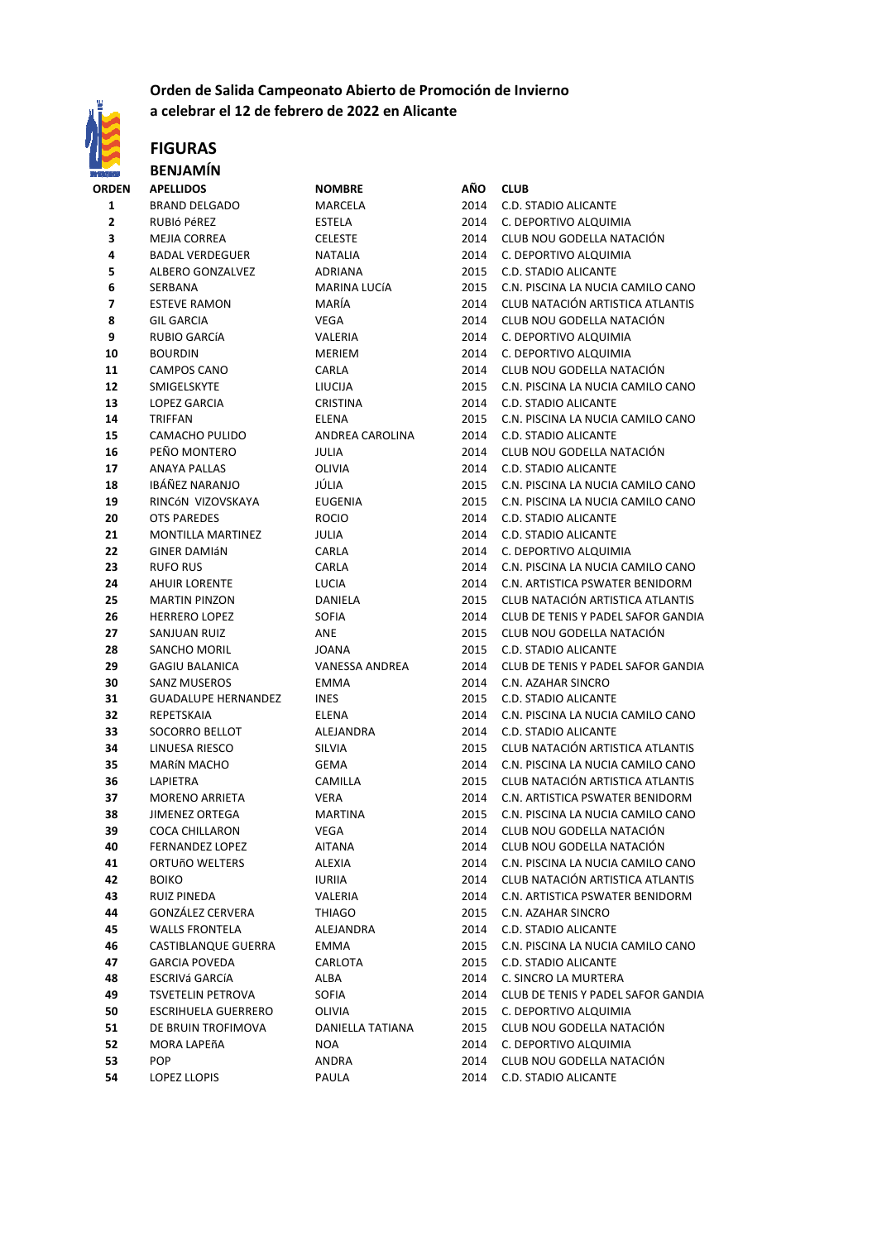

#### **Orden de Salida Campeonato Abierto de Promoción de Invierno a celebrar el 12 de febrero de 2022 en Alicante**

#### **FIGURAS BENJAMÍN**

| <b>ORDEN</b> | <b>APELLIDOS</b>           | <b>NOMBRE</b>         | AÑO  | <b>CLUB</b>                        |
|--------------|----------------------------|-----------------------|------|------------------------------------|
| 1            | <b>BRAND DELGADO</b>       | MARCELA               | 2014 | C.D. STADIO ALICANTE               |
| $\mathbf 2$  | RUBIÓ PÉREZ                | <b>ESTELA</b>         | 2014 | C. DEPORTIVO ALQUIMIA              |
| 3            | <b>MEJIA CORREA</b>        | <b>CELESTE</b>        | 2014 | CLUB NOU GODELLA NATACIÓN          |
| 4            | <b>BADAL VERDEGUER</b>     | <b>NATALIA</b>        | 2014 | C. DEPORTIVO ALQUIMIA              |
| 5            | <b>ALBERO GONZALVEZ</b>    | ADRIANA               | 2015 | <b>C.D. STADIO ALICANTE</b>        |
| 6            | SERBANA                    | MARINA LUCÍA          | 2015 | C.N. PISCINA LA NUCIA CAMILO CANO  |
| 7            | <b>ESTEVE RAMON</b>        | MARÍA                 | 2014 | CLUB NATACIÓN ARTISTICA ATLANTIS   |
| 8            | <b>GIL GARCIA</b>          | VEGA                  | 2014 | CLUB NOU GODELLA NATACIÓN          |
| 9            | RUBIO GARCÍA               | <b>VALERIA</b>        | 2014 | C. DEPORTIVO ALQUIMIA              |
| 10           | <b>BOURDIN</b>             | MERIEM                | 2014 | C. DEPORTIVO ALQUIMIA              |
| 11           | <b>CAMPOS CANO</b>         | CARLA                 | 2014 | CLUB NOU GODELLA NATACIÓN          |
| 12           | SMIGELSKYTE                | LIUCIJA               | 2015 | C.N. PISCINA LA NUCIA CAMILO CANO  |
| 13           | LOPEZ GARCIA               | <b>CRISTINA</b>       | 2014 | <b>C.D. STADIO ALICANTE</b>        |
| 14           | <b>TRIFFAN</b>             | <b>ELENA</b>          | 2015 | C.N. PISCINA LA NUCIA CAMILO CANO  |
| 15           | CAMACHO PULIDO             | ANDREA CAROLINA       | 2014 | C.D. STADIO ALICANTE               |
| 16           | PEÑO MONTERO               | <b>JULIA</b>          | 2014 | CLUB NOU GODELLA NATACIÓN          |
| 17           | <b>ANAYA PALLAS</b>        | OLIVIA                | 2014 | <b>C.D. STADIO ALICANTE</b>        |
| 18           | IBÁÑEZ NARANJO             | JÚLIA                 | 2015 | C.N. PISCINA LA NUCIA CAMILO CANO  |
| 19           | RINCÓN VIZOVSKAYA          | <b>EUGENIA</b>        | 2015 | C.N. PISCINA LA NUCIA CAMILO CANO  |
| 20           | OTS PAREDES                | <b>ROCIO</b>          | 2014 | C.D. STADIO ALICANTE               |
| 21           | <b>MONTILLA MARTINEZ</b>   | JULIA                 | 2014 | <b>C.D. STADIO ALICANTE</b>        |
| 22           | <b>GINER DAMIÁN</b>        | CARLA                 | 2014 | C. DEPORTIVO ALQUIMIA              |
| 23           | <b>RUFO RUS</b>            | CARLA                 | 2014 | C.N. PISCINA LA NUCIA CAMILO CANO  |
| 24           | <b>AHUIR LORENTE</b>       | <b>LUCIA</b>          | 2014 | C.N. ARTISTICA PSWATER BENIDORM    |
| 25           | <b>MARTIN PINZON</b>       | <b>DANIELA</b>        | 2015 | CLUB NATACIÓN ARTISTICA ATLANTIS   |
| 26           | <b>HERRERO LOPEZ</b>       | <b>SOFIA</b>          | 2014 | CLUB DE TENIS Y PADEL SAFOR GANDIA |
| 27           | SANJUAN RUIZ               | ANE                   | 2015 | CLUB NOU GODELLA NATACIÓN          |
| 28           | SANCHO MORIL               | <b>JOANA</b>          | 2015 | <b>C.D. STADIO ALICANTE</b>        |
| 29           | <b>GAGIU BALANICA</b>      | <b>VANESSA ANDREA</b> | 2014 | CLUB DE TENIS Y PADEL SAFOR GANDIA |
| 30           | <b>SANZ MUSEROS</b>        | <b>EMMA</b>           | 2014 | C.N. AZAHAR SINCRO                 |
| 31           | <b>GUADALUPE HERNANDEZ</b> | <b>INES</b>           | 2015 | C.D. STADIO ALICANTE               |
| 32           | REPETSKAIA                 | <b>ELENA</b>          | 2014 | C.N. PISCINA LA NUCIA CAMILO CANO  |
| 33           | SOCORRO BELLOT             | ALEJANDRA             | 2014 | C.D. STADIO ALICANTE               |
| 34           | LINUESA RIESCO             | SILVIA                | 2015 | CLUB NATACIÓN ARTISTICA ATLANTIS   |
| 35           | <b>MARÍN MACHO</b>         | <b>GEMA</b>           | 2014 | C.N. PISCINA LA NUCIA CAMILO CANO  |
| 36           | <b>LAPIETRA</b>            | CAMILLA               | 2015 | CLUB NATACIÓN ARTISTICA ATLANTIS   |
| 37           | <b>MORENO ARRIETA</b>      | VERA                  | 2014 | C.N. ARTISTICA PSWATER BENIDORM    |
| 38           | JIMENEZ ORTEGA             | <b>MARTINA</b>        | 2015 | C.N. PISCINA LA NUCIA CAMILO CANO  |
| 39           | COCA CHILLARON             | <b>VEGA</b>           | 2014 | CLUB NOU GODELLA NATACIÓN          |
| 40           | <b>FERNANDEZ LOPEZ</b>     | AITANA                | 2014 | CLUB NOU GODELLA NATACIÓN          |
| 41           | ORTUñO WELTERS             | ALEXIA                | 2014 | C.N. PISCINA LA NUCIA CAMILO CANO  |
| 42           | <b>BOIKO</b>               | <b>IURIIA</b>         | 2014 | CLUB NATACIÓN ARTISTICA ATLANTIS   |
| 43           | <b>RUIZ PINEDA</b>         | VALERIA               | 2014 | C.N. ARTISTICA PSWATER BENIDORM    |
| 44           | GONZÁLEZ CERVERA           | THIAGO                | 2015 | C.N. AZAHAR SINCRO                 |
| 45           | <b>WALLS FRONTELA</b>      | ALEJANDRA             | 2014 | C.D. STADIO ALICANTE               |
| 46           | CASTIBLANQUE GUERRA        | EMMA                  | 2015 | C.N. PISCINA LA NUCIA CAMILO CANO  |
| 47           | <b>GARCIA POVEDA</b>       | CARLOTA               | 2015 | C.D. STADIO ALICANTE               |
| 48           | ESCRIVá GARCíA             | ALBA                  | 2014 | C. SINCRO LA MURTERA               |
| 49           | <b>TSVETELIN PETROVA</b>   | SOFIA                 | 2014 | CLUB DE TENIS Y PADEL SAFOR GANDIA |
| 50           | <b>ESCRIHUELA GUERRERO</b> | OLIVIA                | 2015 | C. DEPORTIVO ALQUIMIA              |
| 51           | DE BRUIN TROFIMOVA         | DANIELLA TATIANA      | 2015 | CLUB NOU GODELLA NATACIÓN          |
| 52           | MORA LAPEñA                | <b>NOA</b>            | 2014 | C. DEPORTIVO ALQUIMIA              |
| 53           | <b>POP</b>                 | ANDRA                 | 2014 | CLUB NOU GODELLA NATACIÓN          |
| 54           | LOPEZ LLOPIS               | PAULA                 | 2014 | C.D. STADIO ALICANTE               |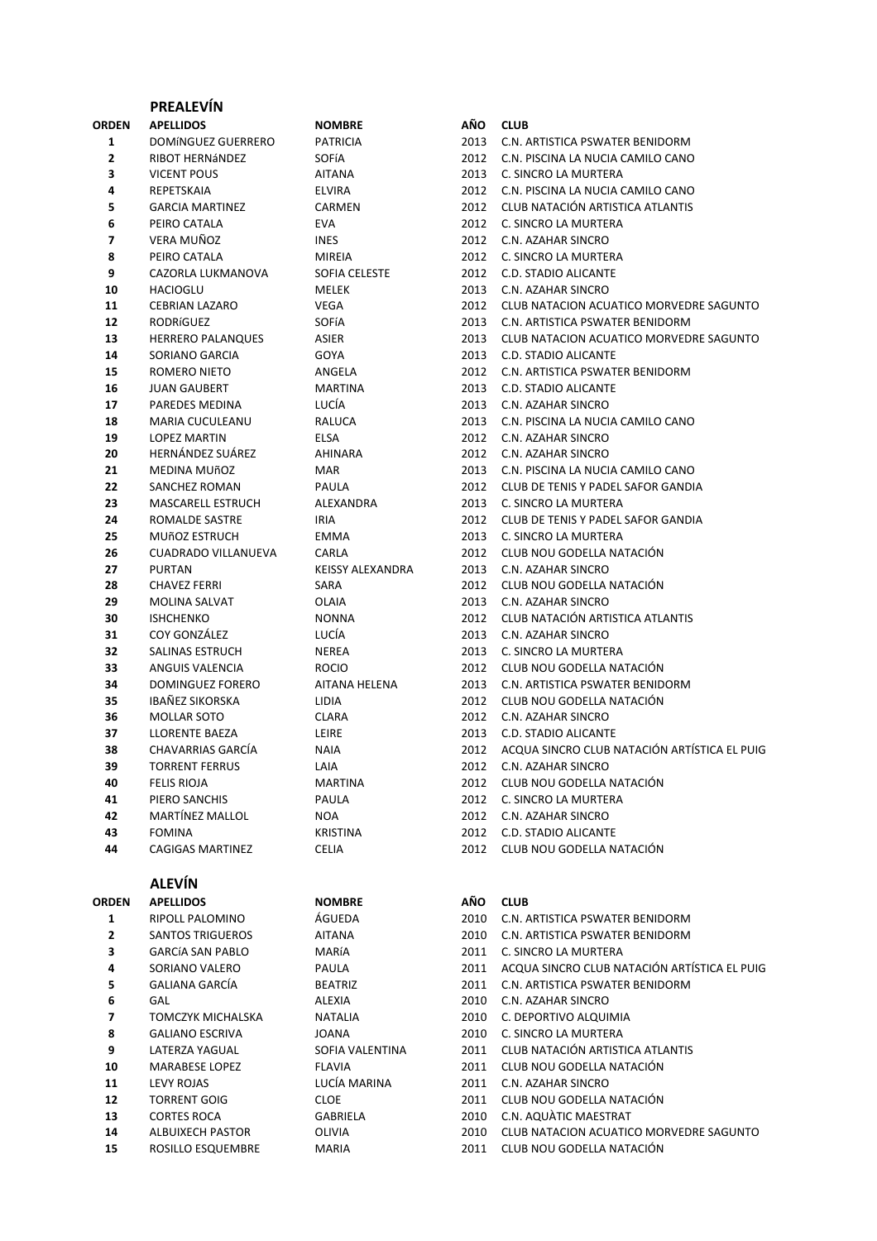|                              | <b>PREALEVIN</b>             |                          |              |                                                                      |
|------------------------------|------------------------------|--------------------------|--------------|----------------------------------------------------------------------|
| ORDEN                        | <b>APELLIDOS</b>             | <b>NOMBRE</b>            | AÑO          | <b>CLUB</b>                                                          |
| 1                            | DOMÍNGUEZ GUERRERO           | <b>PATRICIA</b>          | 2013         | C.N. ARTISTICA PSWATER BENIDORM                                      |
| 2                            | RIBOT HERNÁNDEZ              | <b>SOFÍA</b>             | 2012         | C.N. PISCINA LA NUCIA CAMILO CANO                                    |
| 3                            | <b>VICENT POUS</b>           | <b>AITANA</b>            | 2013         | C. SINCRO LA MURTERA                                                 |
| 4                            | REPETSKAIA                   | <b>ELVIRA</b>            | 2012         | C.N. PISCINA LA NUCIA CAMILO CANO                                    |
| 5                            | <b>GARCIA MARTINEZ</b>       | CARMEN                   | 2012         | CLUB NATACIÓN ARTISTICA ATLANTIS                                     |
| 6                            | PEIRO CATALA                 | <b>EVA</b>               | 2012         | C. SINCRO LA MURTERA                                                 |
| 7                            | VERA MUÑOZ                   | <b>INES</b>              | 2012         | C.N. AZAHAR SINCRO                                                   |
| 8                            | PEIRO CATALA                 | <b>MIREIA</b>            | 2012         | C. SINCRO LA MURTERA                                                 |
| 9                            | CAZORLA LUKMANOVA            | SOFIA CELESTE            | 2012         | C.D. STADIO ALICANTE                                                 |
| 10                           | <b>HACIOGLU</b>              | MELEK                    | 2013         | C.N. AZAHAR SINCRO                                                   |
| 11                           | <b>CEBRIAN LAZARO</b>        | VEGA                     | 2012         | CLUB NATACION ACUATICO MORVEDRE SAGUNTO                              |
| 12                           | RODRÍGUEZ                    | SOFÍA                    | 2013         | C.N. ARTISTICA PSWATER BENIDORM                                      |
| 13                           | <b>HERRERO PALANQUES</b>     | ASIER                    | 2013         | CLUB NATACION ACUATICO MORVEDRE SAGUNTO                              |
| 14                           | SORIANO GARCIA               | GOYA                     | 2013         | C.D. STADIO ALICANTE                                                 |
| 15                           | ROMERO NIETO                 | ANGELA                   | 2012         | C.N. ARTISTICA PSWATER BENIDORM                                      |
| 16                           | JUAN GAUBERT                 | <b>MARTINA</b>           | 2013         | C.D. STADIO ALICANTE                                                 |
| 17                           | PAREDES MEDINA               | LUCÍA                    | 2013         | C.N. AZAHAR SINCRO                                                   |
| 18                           | MARIA CUCULEANU              | RALUCA                   | 2013         | C.N. PISCINA LA NUCIA CAMILO CANO                                    |
| 19                           | LOPEZ MARTIN                 | <b>ELSA</b>              | 2012         | C.N. AZAHAR SINCRO                                                   |
| 20                           | HERNÁNDEZ SUÁREZ             | <b>AHINARA</b>           | 2012         | C.N. AZAHAR SINCRO                                                   |
| 21                           | <b>MEDINA MUÑOZ</b>          | MAR                      | 2013         | C.N. PISCINA LA NUCIA CAMILO CANO                                    |
| 22                           | SANCHEZ ROMAN                | PAULA                    | 2012         | CLUB DE TENIS Y PADEL SAFOR GANDIA                                   |
| 23                           | MASCARELL ESTRUCH            | ALEXANDRA                | 2013         | C. SINCRO LA MURTERA                                                 |
| 24                           | ROMALDE SASTRE               | <b>IRIA</b>              | 2012         | CLUB DE TENIS Y PADEL SAFOR GANDIA                                   |
| 25                           | <b>MUÑOZ ESTRUCH</b>         | <b>EMMA</b>              | 2013         | C. SINCRO LA MURTERA                                                 |
| 26                           | <b>CUADRADO VILLANUEVA</b>   | CARLA                    | 2012         | CLUB NOU GODELLA NATACIÓN                                            |
| 27                           | <b>PURTAN</b>                | <b>KEISSY ALEXANDRA</b>  | 2013         | C.N. AZAHAR SINCRO                                                   |
| 28                           | <b>CHAVEZ FERRI</b>          | SARA                     | 2012         | CLUB NOU GODELLA NATACIÓN                                            |
| 29                           | <b>MOLINA SALVAT</b>         | OLAIA                    | 2013         | C.N. AZAHAR SINCRO                                                   |
| 30                           | <b>ISHCHENKO</b>             | <b>NONNA</b>             | 2012         | CLUB NATACIÓN ARTISTICA ATLANTIS                                     |
| 31                           | COY GONZÁLEZ                 | LUCÍA                    | 2013         | C.N. AZAHAR SINCRO                                                   |
| 32                           | SALINAS ESTRUCH              | NEREA                    | 2013         | C. SINCRO LA MURTERA                                                 |
| 33                           | ANGUIS VALENCIA              | <b>ROCIO</b>             | 2012         | CLUB NOU GODELLA NATACIÓN                                            |
| 34                           | DOMINGUEZ FORERO             | AITANA HELENA            | 2013         | C.N. ARTISTICA PSWATER BENIDORM                                      |
| 35                           | <b>IBAÑEZ SIKORSKA</b>       | LIDIA                    | 2012         | CLUB NOU GODELLA NATACIÓN                                            |
| 36                           | <b>MOLLAR SOTO</b>           | <b>CLARA</b>             | 2012         | C.N. AZAHAR SINCRO                                                   |
| 37                           | LLORENTE BAEZA               | LEIRE                    | 2013         | C.D. STADIO ALICANTE                                                 |
| 38                           | CHAVARRIAS GARCÍA            | <b>NAIA</b>              | 2012         | ACQUA SINCRO CLUB NATACIÓN ARTÍSTICA EL PUIG                         |
| 39                           | <b>TORRENT FERRUS</b>        | LAIA                     | 2012         | C.N. AZAHAR SINCRO                                                   |
| 40                           | <b>FELIS RIOJA</b>           | <b>MARTINA</b>           | 2012         | CLUB NOU GODELLA NATACIÓN                                            |
| 41                           | PIERO SANCHIS                | PAULA                    | 2012         | C. SINCRO LA MURTERA                                                 |
| 42                           | <b>MARTÍNEZ MALLOL</b>       | NOA                      | 2012         | C.N. AZAHAR SINCRO                                                   |
| 43                           | <b>FOMINA</b>                | KRISTINA                 | 2012         | C.D. STADIO ALICANTE                                                 |
| 44                           | <b>CAGIGAS MARTINEZ</b>      | <b>CELIA</b>             | 2012         | CLUB NOU GODELLA NATACIÓN                                            |
|                              | <b>ALEVÍN</b>                |                          |              |                                                                      |
|                              |                              |                          |              |                                                                      |
| ORDEN                        | <b>APELLIDOS</b>             | <b>NOMBRE</b>            | AÑO          | <b>CLUB</b>                                                          |
| 1                            | RIPOLL PALOMINO              | ÁGUEDA                   | 2010         | C.N. ARTISTICA PSWATER BENIDORM                                      |
| $\mathbf{2}$                 | <b>SANTOS TRIGUEROS</b>      | <b>AITANA</b>            | 2010         | C.N. ARTISTICA PSWATER BENIDORM                                      |
| 3                            | <b>GARCÍA SAN PABLO</b>      | MARÍA                    | 2011         | C. SINCRO LA MURTERA<br>ACQUA SINCRO CLUB NATACIÓN ARTÍSTICA EL PUIG |
| 4                            | SORIANO VALERO               | PAULA                    | 2011         |                                                                      |
| 5                            | <b>GALIANA GARCÍA</b><br>GAL | <b>BEATRIZ</b>           | 2011         | C.N. ARTISTICA PSWATER BENIDORM                                      |
| 6<br>$\overline{\mathbf{z}}$ | TOMCZYK MICHALSKA            | ALEXIA<br><b>NATALIA</b> | 2010<br>2010 | C.N. AZAHAR SINCRO<br>C. DEPORTIVO ALQUIMIA                          |
| 8                            | <b>GALIANO ESCRIVA</b>       | <b>JOANA</b>             | 2010         | C. SINCRO LA MURTERA                                                 |
| 9                            | LATERZA YAGUAL               | SOFIA VALENTINA          | 2011         | CLUB NATACIÓN ARTISTICA ATLANTIS                                     |
| 10                           | MARABESE LOPEZ               | <b>FLAVIA</b>            | 2011         | CLUB NOU GODELLA NATACIÓN                                            |
| 11                           | LEVY ROJAS                   | LUCÍA MARINA             | 2011         | C.N. AZAHAR SINCRO                                                   |
|                              |                              |                          |              |                                                                      |

TORRENT GOIG CLOE 2011 CLUB NOU GODELLA NATACIÓN

- CORTES ROCA GABRIELA 2010 C.N. AQUÀTIC MAESTRAT ALBUIXECH PASTOR OLIVIA 2010 CLUB NATACION ACUATICO MORVEDRE SAGUNTO
- ROSILLO ESQUEMBRE MARIA 2011 CLUB NOU GODELLA NATACIÓN
-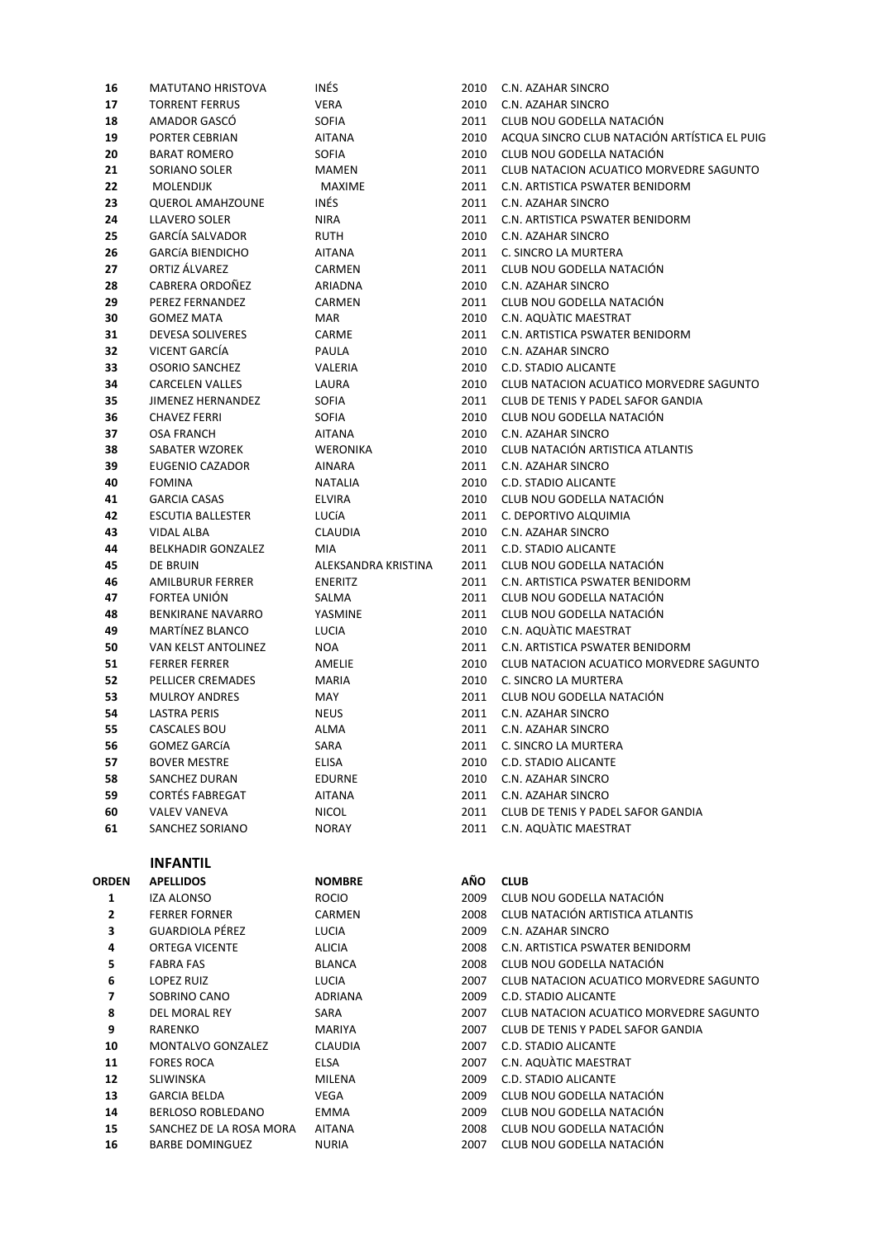| 16    | MATUTANO HRISTOVA         | INÉS                | 2010 | C.N. AZAHAR SINCRO                           |
|-------|---------------------------|---------------------|------|----------------------------------------------|
| 17    | <b>TORRENT FERRUS</b>     | <b>VERA</b>         | 2010 | C.N. AZAHAR SINCRO                           |
| 18    | AMADOR GASCO              | <b>SOFIA</b>        | 2011 | CLUB NOU GODELLA NATACIÓN                    |
| 19    | PORTER CEBRIAN            | AITANA              | 2010 | ACQUA SINCRO CLUB NATACIÓN ARTÍSTICA EL PUIG |
| 20    | <b>BARAT ROMERO</b>       | <b>SOFIA</b>        | 2010 | CLUB NOU GODELLA NATACIÓN                    |
| 21    | SORIANO SOLER             | <b>MAMEN</b>        | 2011 | CLUB NATACION ACUATICO MORVEDRE SAGUNTO      |
| 22    | MOLENDIJK                 | <b>MAXIME</b>       | 2011 | C.N. ARTISTICA PSWATER BENIDORM              |
| 23    | <b>QUEROL AMAHZOUNE</b>   | INÉS                | 2011 | C.N. AZAHAR SINCRO                           |
| 24    | LLAVERO SOLER             | <b>NIRA</b>         | 2011 | C.N. ARTISTICA PSWATER BENIDORM              |
| 25    | <b>GARCÍA SALVADOR</b>    | RUTH                | 2010 | C.N. AZAHAR SINCRO                           |
| 26    | <b>GARCÍA BIENDICHO</b>   | <b>AITANA</b>       | 2011 | C. SINCRO LA MURTERA                         |
| 27    | ORTIZ ÁLVAREZ             | CARMEN              | 2011 | CLUB NOU GODELLA NATACIÓN                    |
| 28    | CABRERA ORDOÑEZ           | ARIADNA             | 2010 | C.N. AZAHAR SINCRO                           |
| 29    | PEREZ FERNANDEZ           | CARMEN              | 2011 | CLUB NOU GODELLA NATACIÓN                    |
| 30    | <b>GOMEZ MATA</b>         | MAR                 | 2010 | C.N. AQUÀTIC MAESTRAT                        |
|       |                           |                     | 2011 |                                              |
| 31    | <b>DEVESA SOLIVERES</b>   | CARME               |      | C.N. ARTISTICA PSWATER BENIDORM              |
| 32    | VICENT GARCÍA             | PAULA               | 2010 | C.N. AZAHAR SINCRO                           |
| 33    | <b>OSORIO SANCHEZ</b>     | VALERIA             | 2010 | <b>C.D. STADIO ALICANTE</b>                  |
| 34    | <b>CARCELEN VALLES</b>    | LAURA               | 2010 | CLUB NATACION ACUATICO MORVEDRE SAGUNTO      |
| 35    | JIMENEZ HERNANDEZ         | SOFIA               | 2011 | CLUB DE TENIS Y PADEL SAFOR GANDIA           |
| 36    | <b>CHAVEZ FERRI</b>       | <b>SOFIA</b>        | 2010 | CLUB NOU GODELLA NATACIÓN                    |
| 37    | OSA FRANCH                | <b>AITANA</b>       | 2010 | C.N. AZAHAR SINCRO                           |
| 38    | SABATER WZOREK            | <b>WERONIKA</b>     | 2010 | CLUB NATACIÓN ARTISTICA ATLANTIS             |
| 39    | <b>EUGENIO CAZADOR</b>    | AINARA              | 2011 | C.N. AZAHAR SINCRO                           |
| 40    | <b>FOMINA</b>             | <b>NATALIA</b>      | 2010 | C.D. STADIO ALICANTE                         |
| 41    | <b>GARCIA CASAS</b>       | <b>ELVIRA</b>       | 2010 | CLUB NOU GODELLA NATACIÓN                    |
| 42    | <b>ESCUTIA BALLESTER</b>  | LUCÍA               | 2011 | C. DEPORTIVO ALQUIMIA                        |
| 43    | <b>VIDAL ALBA</b>         | <b>CLAUDIA</b>      | 2010 | C.N. AZAHAR SINCRO                           |
| 44    | <b>BELKHADIR GONZALEZ</b> | MIA                 | 2011 | C.D. STADIO ALICANTE                         |
| 45    | DE BRUIN                  | ALEKSANDRA KRISTINA | 2011 | CLUB NOU GODELLA NATACIÓN                    |
| 46    | AMILBURUR FERRER          | <b>ENERITZ</b>      | 2011 | C.N. ARTISTICA PSWATER BENIDORM              |
| 47    | FORTEA UNIÓN              | SALMA               | 2011 | CLUB NOU GODELLA NATACIÓN                    |
| 48    | <b>BENKIRANE NAVARRO</b>  | YASMINE             | 2011 | CLUB NOU GODELLA NATACIÓN                    |
| 49    | <b>MARTÍNEZ BLANCO</b>    | LUCIA               | 2010 | C.N. AQUATIC MAESTRAT                        |
| 50    | VAN KELST ANTOLINEZ       | <b>NOA</b>          | 2011 | C.N. ARTISTICA PSWATER BENIDORM              |
| 51    | <b>FERRER FERRER</b>      | AMELIE              | 2010 | CLUB NATACION ACUATICO MORVEDRE SAGUNTO      |
| 52    | PELLICER CREMADES         | <b>MARIA</b>        | 2010 | C. SINCRO LA MURTERA                         |
| 53    | <b>MULROY ANDRES</b>      | MAY                 | 2011 | CLUB NOU GODELLA NATACIÓN                    |
| 54    | LASTRA PERIS              | <b>NEUS</b>         | 2011 | C.N. AZAHAR SINCRO                           |
| 55    | CASCALES BOU              | ALMA                | 2011 | C.N. AZAHAR SINCRO                           |
| 56    | GOMEZ GARCÍA              | SARA                | 2011 | C. SINCRO LA MURTERA                         |
| 57    | <b>BOVER MESTRE</b>       | <b>ELISA</b>        | 2010 | <b>C.D. STADIO ALICANTE</b>                  |
| 58    | SANCHEZ DURAN             | <b>EDURNE</b>       | 2010 | C.N. AZAHAR SINCRO                           |
| 59    | <b>CORTÉS FABREGAT</b>    | <b>AITANA</b>       | 2011 | C.N. AZAHAR SINCRO                           |
| 60    | <b>VALEV VANEVA</b>       | <b>NICOL</b>        | 2011 | CLUB DE TENIS Y PADEL SAFOR GANDIA           |
| 61    | SANCHEZ SORIANO           | <b>NORAY</b>        | 2011 | C.N. AQUÀTIC MAESTRAT                        |
|       |                           |                     |      |                                              |
|       |                           |                     |      |                                              |
|       | <b>INFANTIL</b>           |                     |      |                                              |
| ORDEN | <b>APELLIDOS</b>          | <b>NOMBRE</b>       | AÑO  | <b>CLUB</b>                                  |
| 1     | IZA ALONSO                | <b>ROCIO</b>        | 2009 | CLUB NOU GODELLA NATACIÓN                    |
| 2     | <b>FERRER FORNER</b>      | CARMEN              | 2008 | CLUB NATACIÓN ARTISTICA ATLANTIS             |
| 3     | GUARDIOLA PÉREZ           | LUCIA               | 2009 | C.N. AZAHAR SINCRO                           |
| 4     | ORTEGA VICENTE            | ALICIA              | 2008 | C.N. ARTISTICA PSWATER BENIDORM              |
| 5     | <b>FABRA FAS</b>          | <b>BLANCA</b>       | 2008 | CLUB NOU GODELLA NATACIÓN                    |
| 6     | LOPEZ RUIZ                | LUCIA               | 2007 | CLUB NATACION ACUATICO MORVEDRE SAGUNTO      |
| 7     | SOBRINO CANO              | ADRIANA             | 2009 | C.D. STADIO ALICANTE                         |
| 8     | DEL MORAL REY             | SARA                | 2007 | CLUB NATACION ACUATICO MORVEDRE SAGUNTO      |
| 9     | RARENKO                   | MARIYA              | 2007 | CLUB DE TENIS Y PADEL SAFOR GANDIA           |
| 10    | MONTALVO GONZALEZ         | CLAUDIA             | 2007 | C.D. STADIO ALICANTE                         |
| 11    | <b>FORES ROCA</b>         | ELSA                | 2007 | C.N. AQUATIC MAESTRAT                        |
| 12    | SLIWINSKA                 | MILENA              | 2009 | C.D. STADIO ALICANTE                         |
| 13    | <b>GARCIA BELDA</b>       | VEGA                | 2009 | CLUB NOU GODELLA NATACIÓN                    |
| 14    | BERLOSO ROBLEDANO         | EMMA                | 2009 | CLUB NOU GODELLA NATACIÓN                    |
| 15    | SANCHEZ DE LA ROSA MORA   | <b>AITANA</b>       | 2008 | CLUB NOU GODELLA NATACIÓN                    |
| 16    | <b>BARBE DOMINGUEZ</b>    | <b>NURIA</b>        | 2007 | CLUB NOU GODELLA NATACIÓN                    |
|       |                           |                     |      |                                              |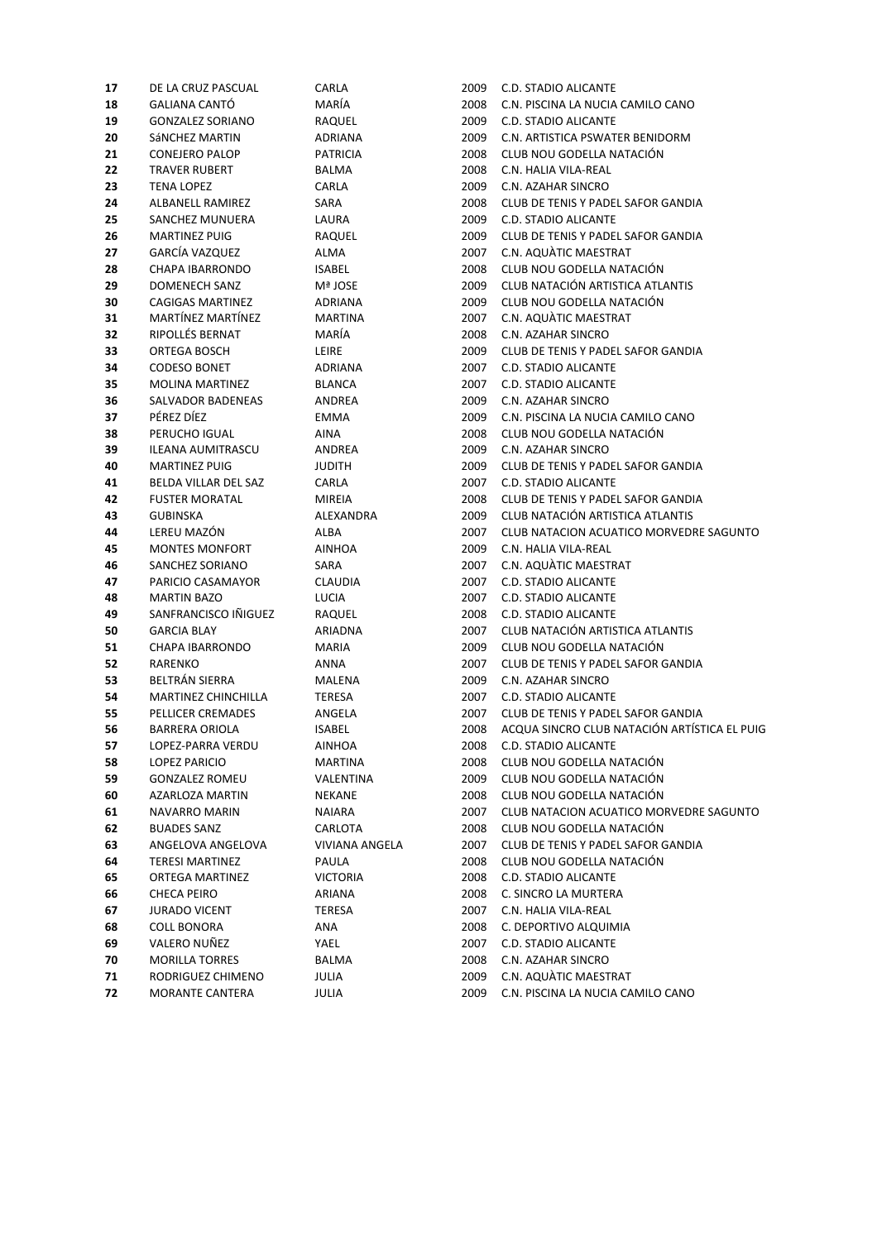| 17 | DE LA CRUZ PASCUAL         | CARLA                 | 2009 | C.D. STADIO ALICANTE                         |
|----|----------------------------|-----------------------|------|----------------------------------------------|
| 18 | <b>GALIANA CANTÓ</b>       | MARÍA                 | 2008 | C.N. PISCINA LA NUCIA CAMILO CANO            |
| 19 | <b>GONZALEZ SORIANO</b>    | RAQUEL                | 2009 | C.D. STADIO ALICANTE                         |
| 20 | SÁNCHEZ MARTIN             | ADRIANA               | 2009 | C.N. ARTISTICA PSWATER BENIDORM              |
| 21 | <b>CONEJERO PALOP</b>      | <b>PATRICIA</b>       | 2008 | CLUB NOU GODELLA NATACIÓN                    |
| 22 | <b>TRAVER RUBERT</b>       | BALMA                 | 2008 | C.N. HALIA VILA-REAL                         |
| 23 | <b>TENA LOPEZ</b>          | CARLA                 | 2009 | C.N. AZAHAR SINCRO                           |
| 24 | ALBANELL RAMIREZ           | SARA                  | 2008 | CLUB DE TENIS Y PADEL SAFOR GANDIA           |
| 25 | SANCHEZ MUNUERA            | LAURA                 | 2009 | C.D. STADIO ALICANTE                         |
| 26 | <b>MARTINEZ PUIG</b>       | RAQUEL                | 2009 | CLUB DE TENIS Y PADEL SAFOR GANDIA           |
| 27 | GARCÍA VAZQUEZ             | ALMA                  | 2007 | C.N. AQUATIC MAESTRAT                        |
| 28 | CHAPA IBARRONDO            | <b>ISABEL</b>         | 2008 | CLUB NOU GODELLA NATACIÓN                    |
| 29 | <b>DOMENECH SANZ</b>       | Mª JOSE               | 2009 | CLUB NATACIÓN ARTISTICA ATLANTIS             |
| 30 | <b>CAGIGAS MARTINEZ</b>    | ADRIANA               | 2009 | CLUB NOU GODELLA NATACIÓN                    |
| 31 | MARTÍNEZ MARTÍNEZ          | <b>MARTINA</b>        | 2007 | C.N. AQUATIC MAESTRAT                        |
| 32 | RIPOLLÉS BERNAT            | MARÍA                 | 2008 | C.N. AZAHAR SINCRO                           |
| 33 | ORTEGA BOSCH               | LEIRE                 | 2009 | CLUB DE TENIS Y PADEL SAFOR GANDIA           |
| 34 | <b>CODESO BONET</b>        | ADRIANA               | 2007 | C.D. STADIO ALICANTE                         |
| 35 | <b>MOLINA MARTINEZ</b>     | <b>BLANCA</b>         | 2007 | C.D. STADIO ALICANTE                         |
| 36 | SALVADOR BADENEAS          | ANDREA                | 2009 | C.N. AZAHAR SINCRO                           |
| 37 | PÉREZ DÍEZ                 | <b>EMMA</b>           | 2009 | C.N. PISCINA LA NUCIA CAMILO CANO            |
| 38 | PERUCHO IGUAL              | AINA                  | 2008 | CLUB NOU GODELLA NATACIÓN                    |
| 39 | ILEANA AUMITRASCU          | <b>ANDREA</b>         | 2009 | C.N. AZAHAR SINCRO                           |
| 40 | <b>MARTINEZ PUIG</b>       | <b>JUDITH</b>         | 2009 | CLUB DE TENIS Y PADEL SAFOR GANDIA           |
| 41 | BELDA VILLAR DEL SAZ       | CARLA                 | 2007 | C.D. STADIO ALICANTE                         |
| 42 | <b>FUSTER MORATAL</b>      | <b>MIREIA</b>         | 2008 | CLUB DE TENIS Y PADEL SAFOR GANDIA           |
| 43 | <b>GUBINSKA</b>            | ALEXANDRA             | 2009 | CLUB NATACIÓN ARTISTICA ATLANTIS             |
| 44 | LEREU MAZÓN                | ALBA                  | 2007 | CLUB NATACION ACUATICO MORVEDRE SAGUNTO      |
| 45 | <b>MONTES MONFORT</b>      | <b>AINHOA</b>         | 2009 | C.N. HALIA VILA-REAL                         |
| 46 | SANCHEZ SORIANO            | SARA                  | 2007 | C.N. AQUATIC MAESTRAT                        |
| 47 | PARICIO CASAMAYOR          | <b>CLAUDIA</b>        | 2007 | C.D. STADIO ALICANTE                         |
| 48 | <b>MARTIN BAZO</b>         | LUCIA                 | 2007 | <b>C.D. STADIO ALICANTE</b>                  |
| 49 | SANFRANCISCO IÑIGUEZ       | RAQUEL                | 2008 | C.D. STADIO ALICANTE                         |
| 50 | <b>GARCIA BLAY</b>         | ARIADNA               | 2007 | CLUB NATACIÓN ARTISTICA ATLANTIS             |
| 51 | <b>CHAPA IBARRONDO</b>     | <b>MARIA</b>          | 2009 | CLUB NOU GODELLA NATACIÓN                    |
| 52 | <b>RARENKO</b>             | ANNA                  | 2007 | CLUB DE TENIS Y PADEL SAFOR GANDIA           |
| 53 | BELTRÁN SIERRA             | MALENA                | 2009 | C.N. AZAHAR SINCRO                           |
| 54 | <b>MARTINEZ CHINCHILLA</b> | TERESA                | 2007 | C.D. STADIO ALICANTE                         |
| 55 | PELLICER CREMADES          | ANGELA                | 2007 | CLUB DE TENIS Y PADEL SAFOR GANDIA           |
| 56 | <b>BARRERA ORIOLA</b>      | <b>ISABEL</b>         | 2008 | ACQUA SINCRO CLUB NATACIÓN ARTÍSTICA EL PUIG |
| 57 | LOPEZ-PARRA VERDU          | AINHOA                | 2008 | C.D. STADIO ALICANTE                         |
| 58 | LOPEZ PARICIO              | MARTINA               | 2008 | CLUB NOU GODELLA NATACIÓN                    |
| 59 | <b>GONZALEZ ROMEU</b>      | VALENTINA             | 2009 | CLUB NOU GODELLA NATACIÓN                    |
| 60 | AZARLOZA MARTIN            | NEKANE                | 2008 | CLUB NOU GODELLA NATACIÓN                    |
| 61 | NAVARRO MARIN              | <b>NAIARA</b>         | 2007 | CLUB NATACION ACUATICO MORVEDRE SAGUNTO      |
| 62 | <b>BUADES SANZ</b>         | CARLOTA               | 2008 | CLUB NOU GODELLA NATACIÓN                    |
| 63 | ANGELOVA ANGELOVA          | <b>VIVIANA ANGELA</b> | 2007 | CLUB DE TENIS Y PADEL SAFOR GANDIA           |
| 64 | TERESI MARTINEZ            | PAULA                 | 2008 | CLUB NOU GODELLA NATACIÓN                    |
| 65 | ORTEGA MARTINEZ            | <b>VICTORIA</b>       | 2008 | C.D. STADIO ALICANTE                         |
| 66 | CHECA PEIRO                | ARIANA                | 2008 | C. SINCRO LA MURTERA                         |
| 67 | <b>JURADO VICENT</b>       | TERESA                | 2007 | C.N. HALIA VILA-REAL                         |
| 68 | <b>COLL BONORA</b>         | ANA                   | 2008 | C. DEPORTIVO ALQUIMIA                        |
| 69 | VALERO NUÑEZ               | YAEL                  | 2007 | C.D. STADIO ALICANTE                         |
| 70 | <b>MORILLA TORRES</b>      | BALMA                 | 2008 | C.N. AZAHAR SINCRO                           |
| 71 | RODRIGUEZ CHIMENO          | JULIA                 | 2009 | C.N. AQUATIC MAESTRAT                        |
| 72 | MORANTE CANTERA            | JULIA                 | 2009 | C.N. PISCINA LA NUCIA CAMILO CANO            |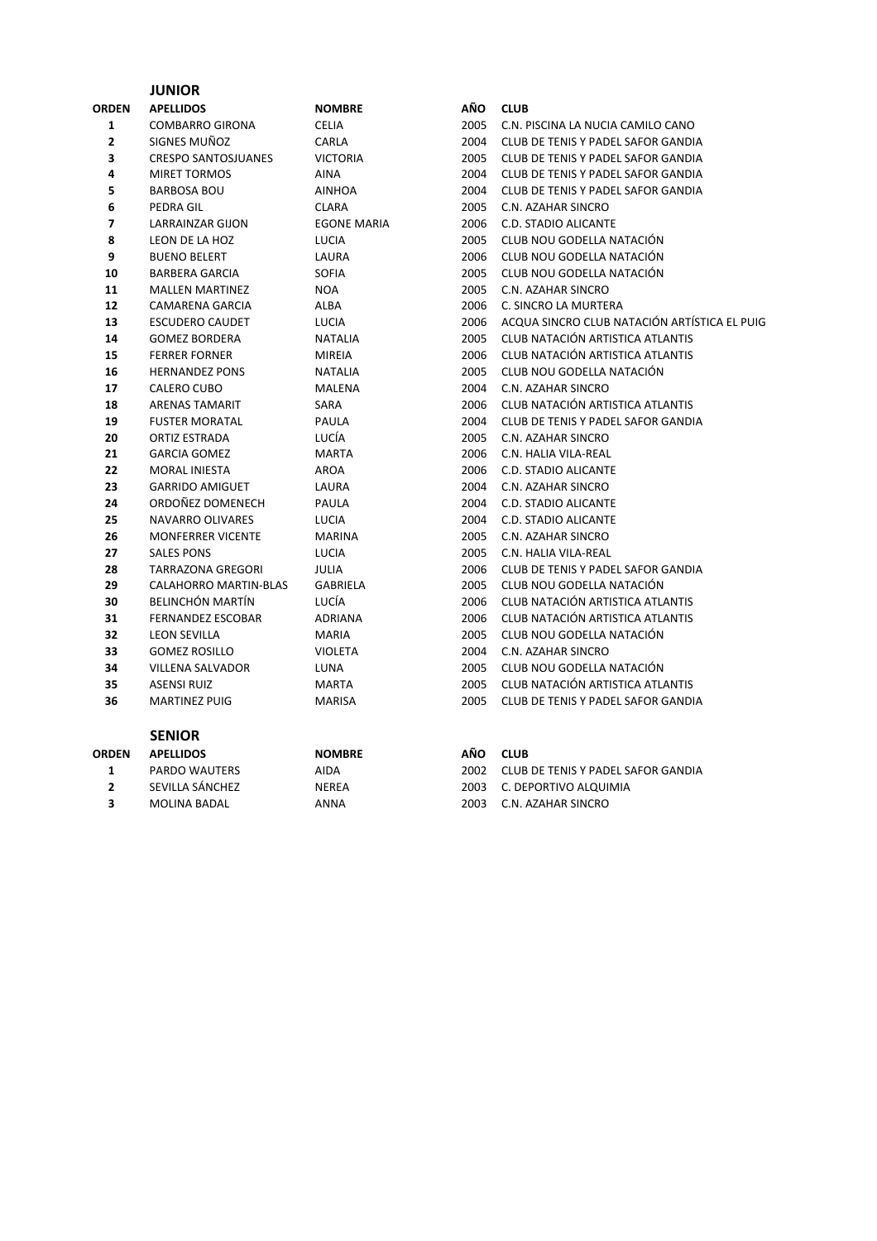#### **JUNIOR**

| ORDEN | <b>APELLIDOS</b>             | <b>NOMBRE</b>      | AÑO  | <b>CLUB</b>                                  |
|-------|------------------------------|--------------------|------|----------------------------------------------|
| 1     | <b>COMBARRO GIRONA</b>       | <b>CELIA</b>       | 2005 | C.N. PISCINA LA NUCIA CAMILO CANO            |
| 2     | SIGNES MUÑOZ                 | CARLA              | 2004 | CLUB DE TENIS Y PADEL SAFOR GANDIA           |
| 3     | <b>CRESPO SANTOSJUANES</b>   | VICTORIA           | 2005 | CLUB DE TENIS Y PADEL SAFOR GANDIA           |
| 4     | <b>MIRET TORMOS</b>          | <b>AINA</b>        | 2004 | CLUB DE TENIS Y PADEL SAFOR GANDIA           |
| 5     | <b>BARBOSA BOU</b>           | <b>AINHOA</b>      | 2004 | CLUB DE TENIS Y PADEL SAFOR GANDIA           |
| 6     | PEDRA GIL                    | CLARA              | 2005 | C.N. AZAHAR SINCRO                           |
| 7     | LARRAINZAR GIJON             | <b>EGONE MARIA</b> | 2006 | <b>C.D. STADIO ALICANTE</b>                  |
| 8     | LEON DE LA HOZ               | LUCIA              | 2005 | CLUB NOU GODELLA NATACIÓN                    |
| 9     | <b>BUENO BELERT</b>          | LAURA              | 2006 | CLUB NOU GODELLA NATACIÓN                    |
| 10    | <b>BARBERA GARCIA</b>        | <b>SOFIA</b>       | 2005 | CLUB NOU GODELLA NATACIÓN                    |
| 11    | <b>MALLEN MARTINEZ</b>       | <b>NOA</b>         | 2005 | C.N. AZAHAR SINCRO                           |
| 12    | <b>CAMARENA GARCIA</b>       | <b>ALBA</b>        | 2006 | C. SINCRO LA MURTERA                         |
| 13    | <b>ESCUDERO CAUDET</b>       | LUCIA              | 2006 | ACQUA SINCRO CLUB NATACIÓN ARTÍSTICA EL PUIG |
| 14    | <b>GOMEZ BORDERA</b>         | NATALIA            | 2005 | CLUB NATACIÓN ARTISTICA ATLANTIS             |
| 15    | <b>FERRER FORNER</b>         | <b>MIREIA</b>      | 2006 | CLUB NATACIÓN ARTISTICA ATLANTIS             |
| 16    | <b>HERNANDEZ PONS</b>        | <b>NATALIA</b>     | 2005 | CLUB NOU GODELLA NATACIÓN                    |
| 17    | CALERO CUBO                  | MALENA             | 2004 | C.N. AZAHAR SINCRO                           |
| 18    | <b>ARENAS TAMARIT</b>        | SARA               | 2006 | CLUB NATACIÓN ARTISTICA ATLANTIS             |
| 19    | <b>FUSTER MORATAL</b>        | PAULA              | 2004 | CLUB DE TENIS Y PADEL SAFOR GANDIA           |
| 20    | ORTIZ ESTRADA                | LUCÍA              | 2005 | C.N. AZAHAR SINCRO                           |
| 21    | <b>GARCIA GOMEZ</b>          | <b>MARTA</b>       | 2006 | C.N. HALIA VILA-REAL                         |
| 22    | <b>MORAL INIESTA</b>         | <b>AROA</b>        | 2006 | <b>C.D. STADIO ALICANTE</b>                  |
| 23    | <b>GARRIDO AMIGUET</b>       | LAURA              | 2004 | C.N. AZAHAR SINCRO                           |
| 24    | ORDOÑEZ DOMENECH             | PAULA              | 2004 | <b>C.D. STADIO ALICANTE</b>                  |
| 25    | <b>NAVARRO OLIVARES</b>      | <b>LUCIA</b>       | 2004 | C.D. STADIO ALICANTE                         |
| 26    | <b>MONFERRER VICENTE</b>     | <b>MARINA</b>      | 2005 | C.N. AZAHAR SINCRO                           |
| 27    | <b>SALES PONS</b>            | LUCIA              | 2005 | C.N. HALIA VILA-REAL                         |
| 28    | <b>TARRAZONA GREGORI</b>     | <b>JULIA</b>       | 2006 | CLUB DE TENIS Y PADEL SAFOR GANDIA           |
| 29    | <b>CALAHORRO MARTIN-BLAS</b> | <b>GABRIELA</b>    | 2005 | CLUB NOU GODELLA NATACIÓN                    |
| 30    | BELINCHÓN MARTÍN             | LUCÍA              | 2006 | CLUB NATACIÓN ARTISTICA ATLANTIS             |
| 31    | <b>FERNANDEZ ESCOBAR</b>     | <b>ADRIANA</b>     | 2006 | CLUB NATACIÓN ARTISTICA ATLANTIS             |
| 32    | <b>LEON SEVILLA</b>          | MARIA              | 2005 | CLUB NOU GODELLA NATACIÓN                    |
| 33    | <b>GOMEZ ROSILLO</b>         | <b>VIOLETA</b>     | 2004 | C.N. AZAHAR SINCRO                           |
| 34    | VILLENA SALVADOR             | LUNA               | 2005 | CLUB NOU GODELLA NATACIÓN                    |
| 35    | <b>ASENSI RUIZ</b>           | <b>MARTA</b>       | 2005 | CLUB NATACIÓN ARTISTICA ATLANTIS             |
| 36    | <b>MARTINEZ PUIG</b>         | <b>MARISA</b>      | 2005 | CLUB DE TENIS Y PADEL SAFOR GANDIA           |
|       |                              |                    |      |                                              |

|       | <b>SENIOR</b>    |               |       |                                    |
|-------|------------------|---------------|-------|------------------------------------|
| ORDEN | <b>APELLIDOS</b> | <b>NOMBRE</b> | AÑO.  | <b>CLUB</b>                        |
|       | PARDO WAUTERS    | AIDA          | 2002. | CLUB DE TENIS Y PADEL SAFOR GANDIA |
|       | SEVILLA SÁNCHEZ  | NEREA         | 2003  | C. DEPORTIVO ALQUIMIA              |
|       | MOLINA BADAL     | ANNA          | 2003  | C.N. AZAHAR SINCRO                 |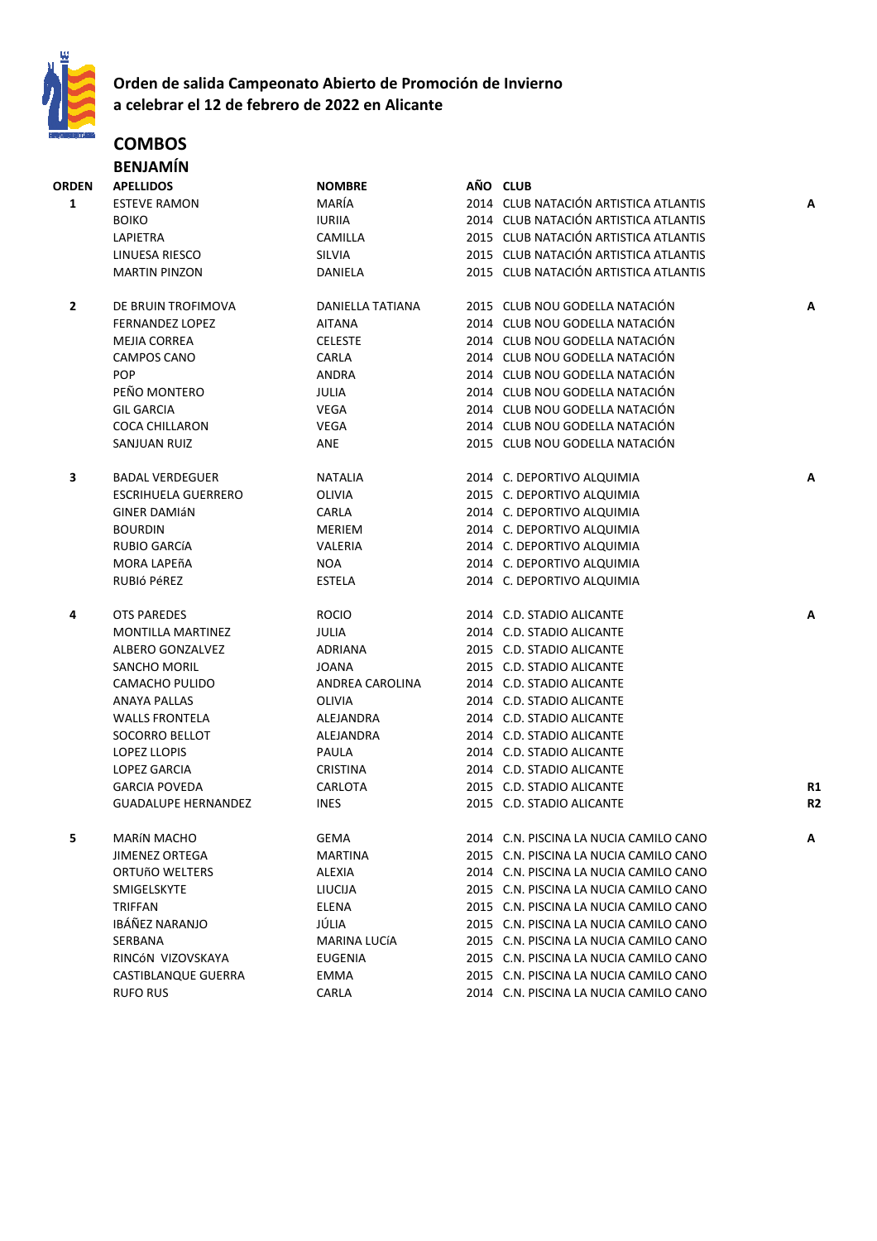

# **Orden de salida Campeonato Abierto de Promoción de Invierno a celebrar el 12 de febrero de 2022 en Alicante**

## **COMBOS BENJAMÍN**

| ORDEN        | <b>APELLIDOS</b>           | <b>NOMBRE</b>           | AÑO CLUB                               |                |
|--------------|----------------------------|-------------------------|----------------------------------------|----------------|
| $\mathbf{1}$ | <b>ESTEVE RAMON</b>        | MARÍA                   | 2014 CLUB NATACIÓN ARTISTICA ATLANTIS  | Α              |
|              | <b>BOIKO</b>               | <b>IURIIA</b>           | 2014 CLUB NATACIÓN ARTISTICA ATLANTIS  |                |
|              | LAPIETRA                   | CAMILLA                 | 2015 CLUB NATACIÓN ARTISTICA ATLANTIS  |                |
|              | LINUESA RIESCO             | SILVIA                  | 2015 CLUB NATACIÓN ARTISTICA ATLANTIS  |                |
|              | <b>MARTIN PINZON</b>       | DANIELA                 | 2015 CLUB NATACIÓN ARTISTICA ATLANTIS  |                |
|              |                            |                         |                                        |                |
| 2            | DE BRUIN TROFIMOVA         | <b>DANIELLA TATIANA</b> | 2015 CLUB NOU GODELLA NATACIÓN         | Α              |
|              | <b>FERNANDEZ LOPEZ</b>     | <b>AITANA</b>           | 2014 CLUB NOU GODELLA NATACIÓN         |                |
|              | <b>MEJIA CORREA</b>        | <b>CELESTE</b>          | 2014 CLUB NOU GODELLA NATACIÓN         |                |
|              | <b>CAMPOS CANO</b>         | CARLA                   | 2014 CLUB NOU GODELLA NATACIÓN         |                |
|              | <b>POP</b>                 | ANDRA                   | 2014 CLUB NOU GODELLA NATACIÓN         |                |
|              | PEÑO MONTERO               | JULIA                   | 2014 CLUB NOU GODELLA NATACIÓN         |                |
|              | <b>GIL GARCIA</b>          | <b>VEGA</b>             | 2014 CLUB NOU GODELLA NATACIÓN         |                |
|              | <b>COCA CHILLARON</b>      | <b>VEGA</b>             | 2014 CLUB NOU GODELLA NATACIÓN         |                |
|              | SANJUAN RUIZ               | ANE                     | 2015 CLUB NOU GODELLA NATACIÓN         |                |
|              |                            |                         |                                        |                |
| 3            | <b>BADAL VERDEGUER</b>     | NATALIA                 | 2014 C. DEPORTIVO ALQUIMIA             | Α              |
|              | <b>ESCRIHUELA GUERRERO</b> | OLIVIA                  | 2015 C. DEPORTIVO ALQUIMIA             |                |
|              | <b>GINER DAMIÁN</b>        | CARLA                   | 2014 C. DEPORTIVO ALQUIMIA             |                |
|              | <b>BOURDIN</b>             | <b>MERIEM</b>           | 2014 C. DEPORTIVO ALQUIMIA             |                |
|              | RUBIO GARCÍA               | VALERIA                 | 2014 C. DEPORTIVO ALQUIMIA             |                |
|              | MORA LAPEñA                | NOA                     | 2014 C. DEPORTIVO ALQUIMIA             |                |
|              | RUBIÓ PÉREZ                | <b>ESTELA</b>           | 2014 C. DEPORTIVO ALQUIMIA             |                |
|              |                            |                         |                                        |                |
| 4            | <b>OTS PAREDES</b>         | <b>ROCIO</b>            | 2014 C.D. STADIO ALICANTE              | A              |
|              | <b>MONTILLA MARTINEZ</b>   | <b>JULIA</b>            | 2014 C.D. STADIO ALICANTE              |                |
|              | ALBERO GONZALVEZ           | ADRIANA                 | 2015 C.D. STADIO ALICANTE              |                |
|              | SANCHO MORIL               | JOANA                   | 2015 C.D. STADIO ALICANTE              |                |
|              | <b>CAMACHO PULIDO</b>      | ANDREA CAROLINA         | 2014 C.D. STADIO ALICANTE              |                |
|              | <b>ANAYA PALLAS</b>        | OLIVIA                  | 2014 C.D. STADIO ALICANTE              |                |
|              | <b>WALLS FRONTELA</b>      | ALEJANDRA               | 2014 C.D. STADIO ALICANTE              |                |
|              | SOCORRO BELLOT             | ALEJANDRA               | 2014 C.D. STADIO ALICANTE              |                |
|              | <b>LOPEZ LLOPIS</b>        | PAULA                   | 2014 C.D. STADIO ALICANTE              |                |
|              | <b>LOPEZ GARCIA</b>        | <b>CRISTINA</b>         | 2014 C.D. STADIO ALICANTE              |                |
|              | <b>GARCIA POVEDA</b>       | CARLOTA                 | 2015 C.D. STADIO ALICANTE              | R <sub>1</sub> |
|              | <b>GUADALUPE HERNANDEZ</b> | <b>INES</b>             | 2015 C.D. STADIO ALICANTE              | R <sub>2</sub> |
|              |                            |                         |                                        |                |
| 5            | MARÍN MACHO                | GEMA                    | 2014 C.N. PISCINA LA NUCIA CAMILO CANO |                |
|              | <b>JIMENEZ ORTEGA</b>      | MARTINA                 | 2015 C.N. PISCINA LA NUCIA CAMILO CANO |                |
|              | ORTUÑO WELTERS             | <b>ALEXIA</b>           | 2014 C.N. PISCINA LA NUCIA CAMILO CANO |                |
|              | SMIGELSKYTE                | LIUCIJA                 | 2015 C.N. PISCINA LA NUCIA CAMILO CANO |                |
|              | <b>TRIFFAN</b>             | ELENA                   | 2015 C.N. PISCINA LA NUCIA CAMILO CANO |                |
|              | <b>IBÁÑEZ NARANJO</b>      | JÚLIA                   | 2015 C.N. PISCINA LA NUCIA CAMILO CANO |                |
|              | SERBANA                    | MARINA LUCÍA            | 2015 C.N. PISCINA LA NUCIA CAMILO CANO |                |
|              | RINCÓN VIZOVSKAYA          | <b>EUGENIA</b>          | 2015 C.N. PISCINA LA NUCIA CAMILO CANO |                |
|              | CASTIBLANQUE GUERRA        | EMMA                    | 2015 C.N. PISCINA LA NUCIA CAMILO CANO |                |
|              | <b>RUFO RUS</b>            | CARLA                   | 2014 C.N. PISCINA LA NUCIA CAMILO CANO |                |
|              |                            |                         |                                        |                |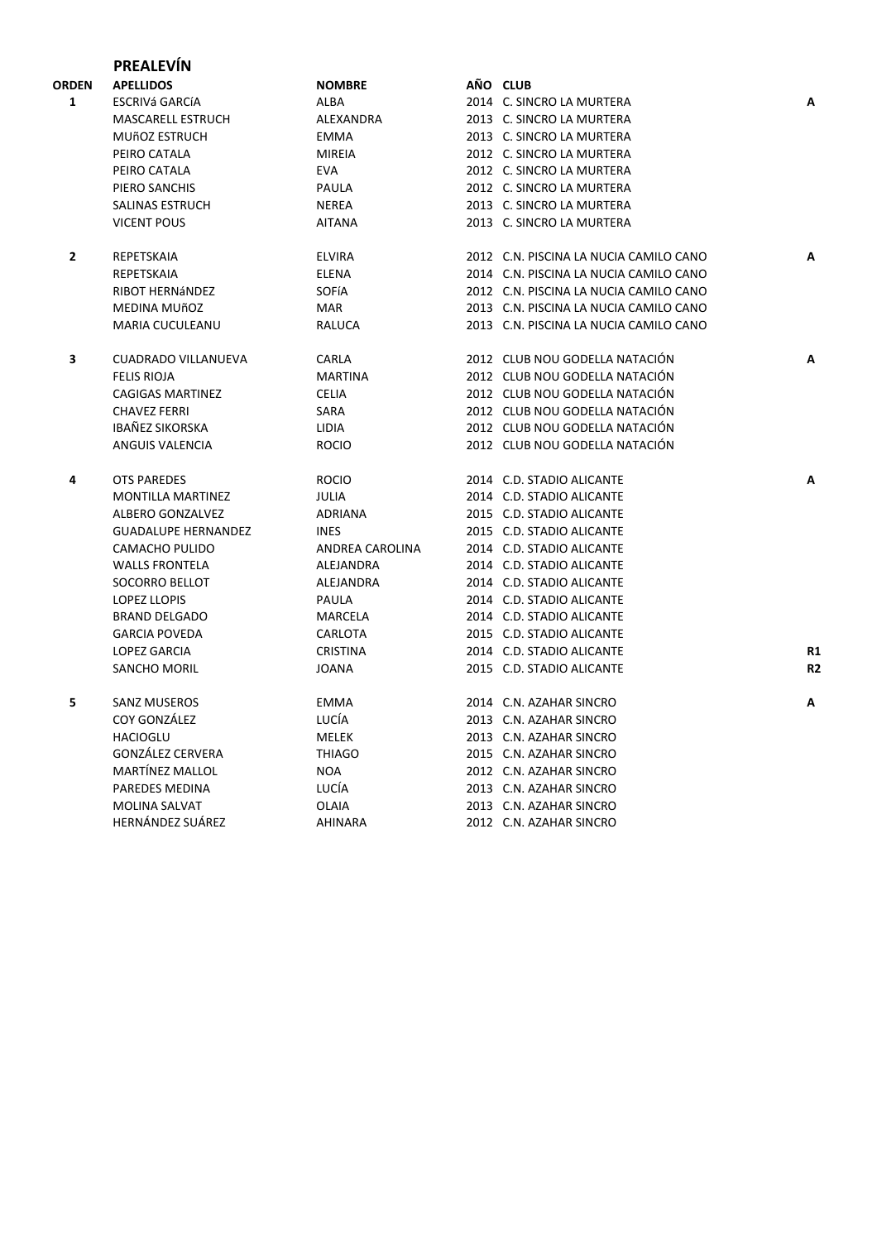# **PREALEVÍN**

| ORDEN        | <b>APELLIDOS</b>           | <b>NOMBRE</b>   | AÑO CLUB                               |                |
|--------------|----------------------------|-----------------|----------------------------------------|----------------|
| $\mathbf{1}$ | ESCRIVá GARCÍA             | <b>ALBA</b>     | 2014 C. SINCRO LA MURTERA              | A              |
|              | MASCARELL ESTRUCH          | ALEXANDRA       | 2013 C. SINCRO LA MURTERA              |                |
|              | <b>MUÑOZ ESTRUCH</b>       | <b>EMMA</b>     | 2013 C. SINCRO LA MURTERA              |                |
|              | PEIRO CATALA               | <b>MIREIA</b>   | 2012 C. SINCRO LA MURTERA              |                |
|              | PEIRO CATALA               | <b>EVA</b>      | 2012 C. SINCRO LA MURTERA              |                |
|              | PIERO SANCHIS              | PAULA           | 2012 C. SINCRO LA MURTERA              |                |
|              | SALINAS ESTRUCH            | <b>NEREA</b>    | 2013 C. SINCRO LA MURTERA              |                |
|              | <b>VICENT POUS</b>         | <b>AITANA</b>   | 2013 C. SINCRO LA MURTERA              |                |
| $\mathbf{2}$ | REPETSKAIA                 | <b>ELVIRA</b>   | 2012 C.N. PISCINA LA NUCIA CAMILO CANO | А              |
|              | REPETSKAIA                 | <b>ELENA</b>    | 2014 C.N. PISCINA LA NUCIA CAMILO CANO |                |
|              | RIBOT HERNÁNDEZ            | SOFÍA           | 2012 C.N. PISCINA LA NUCIA CAMILO CANO |                |
|              | MEDINA MUñOZ               | MAR             | 2013 C.N. PISCINA LA NUCIA CAMILO CANO |                |
|              | MARIA CUCULEANU            | <b>RALUCA</b>   | 2013 C.N. PISCINA LA NUCIA CAMILO CANO |                |
| 3            | <b>CUADRADO VILLANUEVA</b> | CARLA           | 2012 CLUB NOU GODELLA NATACIÓN         | A              |
|              | <b>FELIS RIOJA</b>         | <b>MARTINA</b>  | 2012 CLUB NOU GODELLA NATACIÓN         |                |
|              | <b>CAGIGAS MARTINEZ</b>    | <b>CELIA</b>    | 2012 CLUB NOU GODELLA NATACIÓN         |                |
|              | <b>CHAVEZ FERRI</b>        | SARA            | 2012 CLUB NOU GODELLA NATACIÓN         |                |
|              | <b>IBAÑEZ SIKORSKA</b>     | LIDIA           | 2012 CLUB NOU GODELLA NATACIÓN         |                |
|              | ANGUIS VALENCIA            | <b>ROCIO</b>    | 2012 CLUB NOU GODELLA NATACIÓN         |                |
| 4            | <b>OTS PAREDES</b>         | <b>ROCIO</b>    | 2014 C.D. STADIO ALICANTE              | А              |
|              | <b>MONTILLA MARTINEZ</b>   | <b>JULIA</b>    | 2014 C.D. STADIO ALICANTE              |                |
|              | ALBERO GONZALVEZ           | ADRIANA         | 2015 C.D. STADIO ALICANTE              |                |
|              | <b>GUADALUPE HERNANDEZ</b> | <b>INES</b>     | 2015 C.D. STADIO ALICANTE              |                |
|              | CAMACHO PULIDO             | ANDREA CAROLINA | 2014 C.D. STADIO ALICANTE              |                |
|              | <b>WALLS FRONTELA</b>      | ALEJANDRA       | 2014 C.D. STADIO ALICANTE              |                |
|              | SOCORRO BELLOT             | ALEJANDRA       | 2014 C.D. STADIO ALICANTE              |                |
|              | <b>LOPEZ LLOPIS</b>        | PAULA           | 2014 C.D. STADIO ALICANTE              |                |
|              | <b>BRAND DELGADO</b>       | MARCELA         | 2014 C.D. STADIO ALICANTE              |                |
|              | <b>GARCIA POVEDA</b>       | CARLOTA         | 2015 C.D. STADIO ALICANTE              |                |
|              | <b>LOPEZ GARCIA</b>        | <b>CRISTINA</b> | 2014 C.D. STADIO ALICANTE              | R1             |
|              | <b>SANCHO MORIL</b>        | <b>JOANA</b>    | 2015 C.D. STADIO ALICANTE              | R <sub>2</sub> |
| 5            | <b>SANZ MUSEROS</b>        | <b>EMMA</b>     | 2014 C.N. AZAHAR SINCRO                | A              |
|              | COY GONZÁLEZ               | LUCÍA           | 2013 C.N. AZAHAR SINCRO                |                |
|              | <b>HACIOGLU</b>            | MELEK           | 2013 C.N. AZAHAR SINCRO                |                |
|              | <b>GONZÁLEZ CERVERA</b>    | <b>THIAGO</b>   | 2015 C.N. AZAHAR SINCRO                |                |
|              | MARTÍNEZ MALLOL            | <b>NOA</b>      | 2012 C.N. AZAHAR SINCRO                |                |
|              | PAREDES MEDINA             | LUCÍA           | 2013 C.N. AZAHAR SINCRO                |                |
|              | <b>MOLINA SALVAT</b>       | OLAIA           | 2013 C.N. AZAHAR SINCRO                |                |
|              | <b>HERNÁNDEZ SUÁREZ</b>    | <b>AHINARA</b>  | 2012 C.N. AZAHAR SINCRO                |                |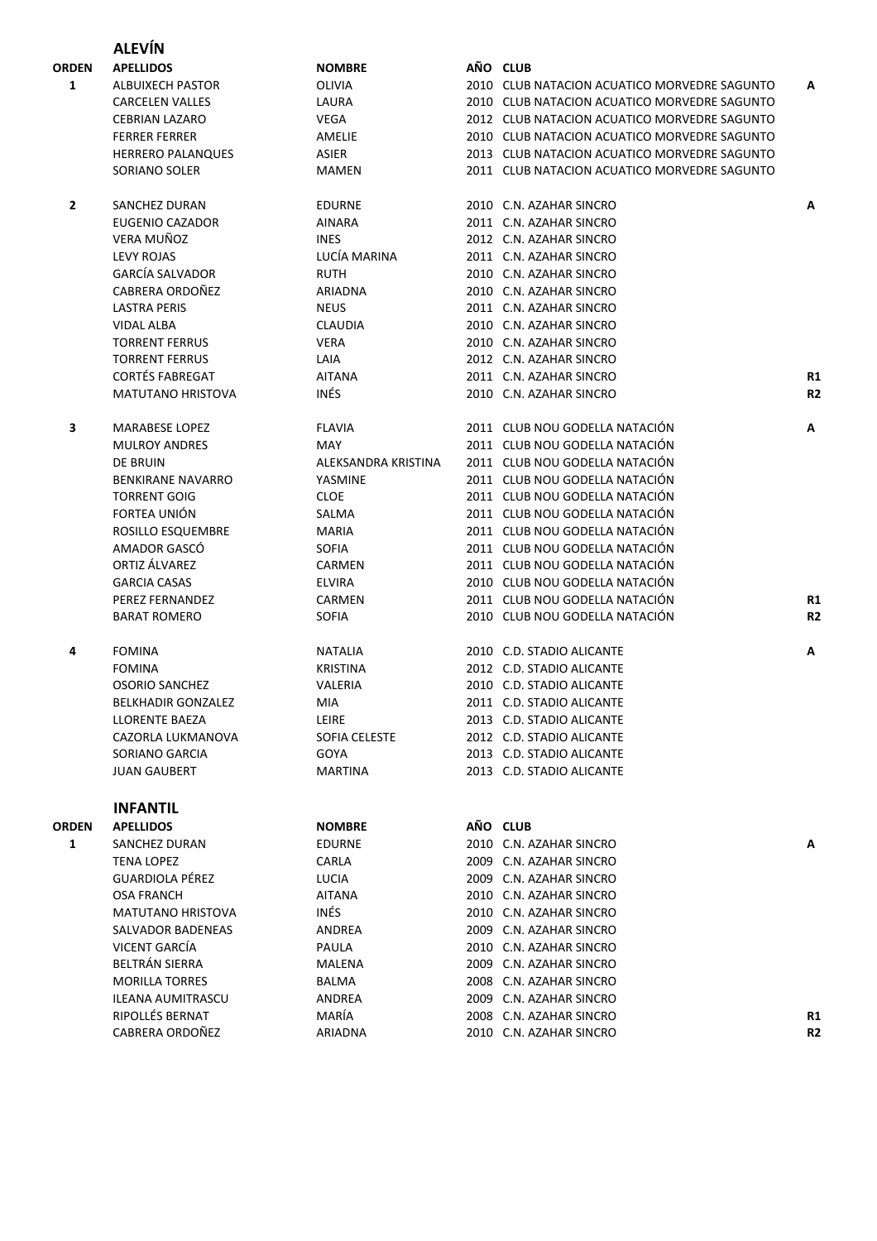|              | <b>ALEVÍN</b>             |                      |                                              |                |
|--------------|---------------------------|----------------------|----------------------------------------------|----------------|
| ORDEN        | <b>APELLIDOS</b>          | <b>NOMBRE</b>        | AÑO CLUB                                     |                |
| 1            | <b>ALBUIXECH PASTOR</b>   | OLIVIA               | 2010 CLUB NATACION ACUATICO MORVEDRE SAGUNTO | A              |
|              | <b>CARCELEN VALLES</b>    | LAURA                | 2010 CLUB NATACION ACUATICO MORVEDRE SAGUNTO |                |
|              | <b>CEBRIAN LAZARO</b>     | VEGA                 | 2012 CLUB NATACION ACUATICO MORVEDRE SAGUNTO |                |
|              | <b>FERRER FERRER</b>      | AMELIE               | 2010 CLUB NATACION ACUATICO MORVEDRE SAGUNTO |                |
|              | <b>HERRERO PALANQUES</b>  | ASIER                | 2013 CLUB NATACION ACUATICO MORVEDRE SAGUNTO |                |
|              | SORIANO SOLER             | MAMEN                | 2011 CLUB NATACION ACUATICO MORVEDRE SAGUNTO |                |
| $\mathbf{2}$ | <b>SANCHEZ DURAN</b>      | <b>EDURNE</b>        | 2010 C.N. AZAHAR SINCRO                      | A              |
|              | EUGENIO CAZADOR           | <b>AINARA</b>        | 2011 C.N. AZAHAR SINCRO                      |                |
|              | VERA MUÑOZ                | <b>INES</b>          | 2012 C.N. AZAHAR SINCRO                      |                |
|              | <b>LEVY ROJAS</b>         | LUCÍA MARINA         | 2011 C.N. AZAHAR SINCRO                      |                |
|              | <b>GARCÍA SALVADOR</b>    | <b>RUTH</b>          | 2010 C.N. AZAHAR SINCRO                      |                |
|              | CABRERA ORDOÑEZ           | ARIADNA              | 2010 C.N. AZAHAR SINCRO                      |                |
|              | <b>LASTRA PERIS</b>       | <b>NEUS</b>          | 2011 C.N. AZAHAR SINCRO                      |                |
|              | VIDAL ALBA                | <b>CLAUDIA</b>       | 2010 C.N. AZAHAR SINCRO                      |                |
|              | <b>TORRENT FERRUS</b>     | <b>VERA</b>          | 2010 C.N. AZAHAR SINCRO                      |                |
|              | <b>TORRENT FERRUS</b>     | LAIA                 | 2012 C.N. AZAHAR SINCRO                      |                |
|              | <b>CORTÉS FABREGAT</b>    | <b>AITANA</b>        | 2011 C.N. AZAHAR SINCRO                      | R1             |
|              | <b>MATUTANO HRISTOVA</b>  | INÉS                 | 2010 C.N. AZAHAR SINCRO                      | R <sub>2</sub> |
| 3            | <b>MARABESE LOPEZ</b>     | <b>FLAVIA</b>        | 2011 CLUB NOU GODELLA NATACIÓN               | A              |
|              | <b>MULROY ANDRES</b>      | <b>MAY</b>           | 2011 CLUB NOU GODELLA NATACIÓN               |                |
|              | <b>DE BRUIN</b>           | ALEKSANDRA KRISTINA  | 2011 CLUB NOU GODELLA NATACIÓN               |                |
|              | <b>BENKIRANE NAVARRO</b>  | YASMINE              | 2011 CLUB NOU GODELLA NATACIÓN               |                |
|              | <b>TORRENT GOIG</b>       | <b>CLOE</b>          | 2011 CLUB NOU GODELLA NATACIÓN               |                |
|              | FORTEA UNIÓN              | SALMA                | 2011 CLUB NOU GODELLA NATACIÓN               |                |
|              | ROSILLO ESQUEMBRE         | <b>MARIA</b>         | 2011 CLUB NOU GODELLA NATACIÓN               |                |
|              | AMADOR GASCÓ              | <b>SOFIA</b>         | 2011 CLUB NOU GODELLA NATACIÓN               |                |
|              | ORTIZ ÁLVAREZ             | CARMEN               | 2011 CLUB NOU GODELLA NATACIÓN               |                |
|              | <b>GARCIA CASAS</b>       | <b>ELVIRA</b>        | 2010 CLUB NOU GODELLA NATACIÓN               |                |
|              | PEREZ FERNANDEZ           | CARMEN               | 2011 CLUB NOU GODELLA NATACIÓN               | R1             |
|              | <b>BARAT ROMERO</b>       | <b>SOFIA</b>         | 2010 CLUB NOU GODELLA NATACIÓN               | R <sub>2</sub> |
| 4            | <b>FOMINA</b>             | NATALIA              | 2010 C.D. STADIO ALICANTE                    | Α              |
|              | <b>FOMINA</b>             | <b>KRISTINA</b>      | 2012 C.D. STADIO ALICANTE                    |                |
|              | <b>OSORIO SANCHEZ</b>     | VALERIA              | 2010 C.D. STADIO ALICANTE                    |                |
|              | <b>BELKHADIR GONZALEZ</b> | MIA                  | 2011 C.D. STADIO ALICANTE                    |                |
|              | LLORENTE BAEZA            | LEIRE                | 2013 C.D. STADIO ALICANTE                    |                |
|              | CAZORLA LUKMANOVA         | <b>SOFIA CELESTE</b> | 2012 C.D. STADIO ALICANTE                    |                |
|              | SORIANO GARCIA            | GOYA                 | 2013 C.D. STADIO ALICANTE                    |                |
|              | <b>JUAN GAUBERT</b>       | MARTINA              | 2013 C.D. STADIO ALICANTE                    |                |
|              | <b>INFANTIL</b>           |                      |                                              |                |
| ORDEN        | <b>APELLIDOS</b>          | <b>NOMBRE</b>        | AÑO CLUB                                     |                |
| $\mathbf{1}$ | <b>SANCHEZ DURAN</b>      | <b>EDURNE</b>        | 2010 C.N. AZAHAR SINCRO                      | А              |
|              | <b>TENA LOPEZ</b>         | CARLA                | 2009 C.N. AZAHAR SINCRO                      |                |
|              | <b>GUARDIOLA PÉREZ</b>    | LUCIA                | 2009 C.N. AZAHAR SINCRO                      |                |
|              | <b>OSA FRANCH</b>         | AITANA               | 2010 C.N. AZAHAR SINCRO                      |                |
|              | <b>MATUTANO HRISTOVA</b>  | INÉS                 | 2010 C.N. AZAHAR SINCRO                      |                |
|              | SALVADOR BADENEAS         | ANDREA               | 2009 C.N. AZAHAR SINCRO                      |                |
|              | VICENT GARCÍA             | PAULA                | 2010 C.N. AZAHAR SINCRO                      |                |
|              | BELTRÁN SIERRA            | MALENA               | 2009 C.N. AZAHAR SINCRO                      |                |
|              | <b>MORILLA TORRES</b>     | BALMA                | 2008 C.N. AZAHAR SINCRO                      |                |
|              | <b>ILEANA AUMITRASCU</b>  | ANDREA               | 2009 C.N. AZAHAR SINCRO                      |                |
|              | RIPOLLÉS BERNAT           | MARÍA                | 2008 C.N. AZAHAR SINCRO                      | R1             |
|              | CABRERA ORDOÑEZ           | ARIADNA              | 2010 C.N. AZAHAR SINCRO                      | R <sub>2</sub> |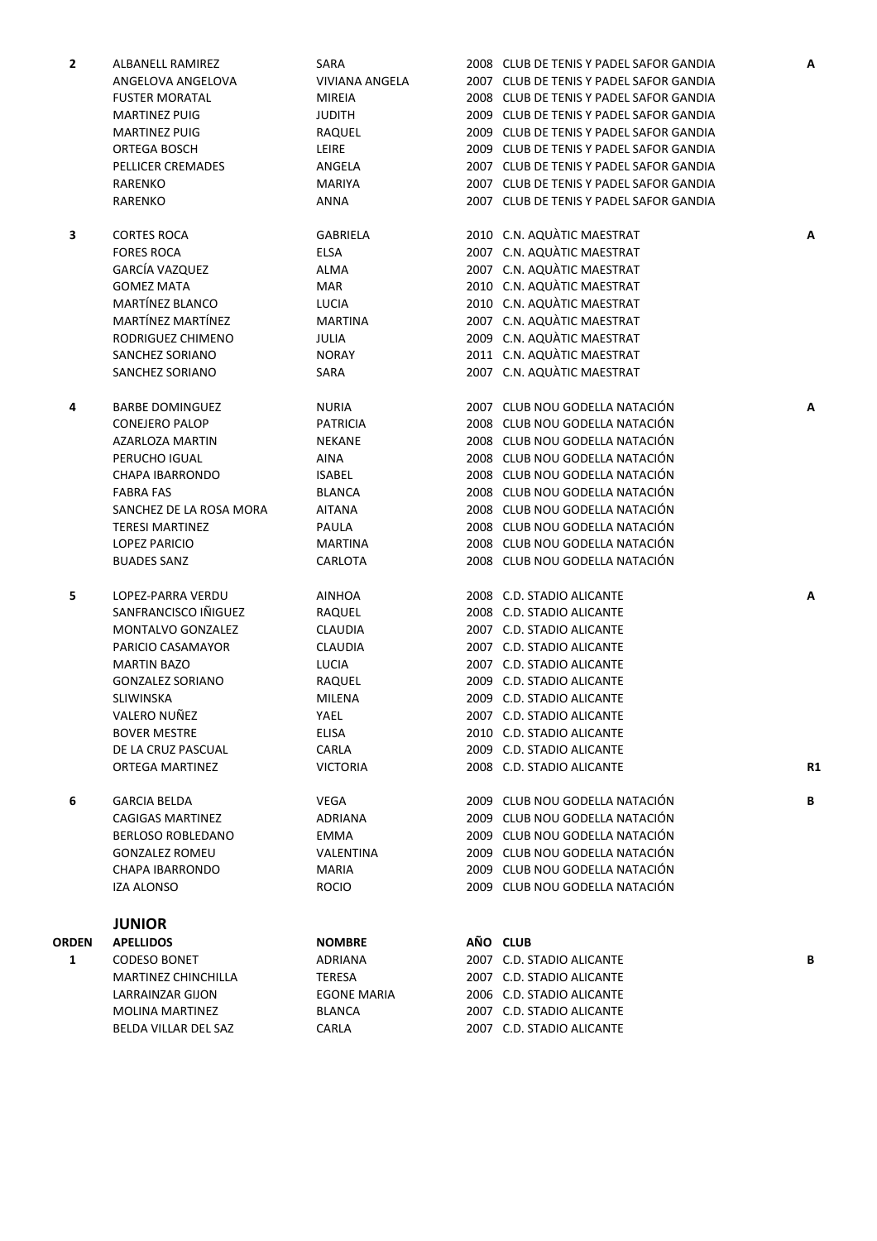| $\mathbf{2}$ | ALBANELL RAMIREZ         | SARA                     | 2008 CLUB DE TENIS Y PADEL SAFOR GANDIA | А              |
|--------------|--------------------------|--------------------------|-----------------------------------------|----------------|
|              | ANGELOVA ANGELOVA        | <b>VIVIANA ANGELA</b>    | 2007 CLUB DE TENIS Y PADEL SAFOR GANDIA |                |
|              | <b>FUSTER MORATAL</b>    | <b>MIREIA</b>            | 2008 CLUB DE TENIS Y PADEL SAFOR GANDIA |                |
|              | <b>MARTINEZ PUIG</b>     | JUDITH                   | 2009 CLUB DE TENIS Y PADEL SAFOR GANDIA |                |
|              | <b>MARTINEZ PUIG</b>     | RAQUEL                   | 2009 CLUB DE TENIS Y PADEL SAFOR GANDIA |                |
|              | ORTEGA BOSCH             | LEIRE                    | 2009 CLUB DE TENIS Y PADEL SAFOR GANDIA |                |
|              | PELLICER CREMADES        | ANGELA                   | 2007 CLUB DE TENIS Y PADEL SAFOR GANDIA |                |
|              | RARENKO                  | <b>MARIYA</b>            | 2007 CLUB DE TENIS Y PADEL SAFOR GANDIA |                |
|              | RARENKO                  | ANNA                     | 2007 CLUB DE TENIS Y PADEL SAFOR GANDIA |                |
|              |                          |                          |                                         |                |
| 3            | <b>CORTES ROCA</b>       | <b>GABRIELA</b>          | 2010 C.N. AQUÀTIC MAESTRAT              | Α              |
|              | <b>FORES ROCA</b>        | <b>ELSA</b>              | 2007 C.N. AQUÀTIC MAESTRAT              |                |
|              | GARCÍA VAZQUEZ           | ALMA                     | 2007 C.N. AQUATIC MAESTRAT              |                |
|              | <b>GOMEZ MATA</b>        | MAR                      | 2010 C.N. AQUATIC MAESTRAT              |                |
|              | MARTÍNEZ BLANCO          | <b>LUCIA</b>             | 2010 C.N. AQUÀTIC MAESTRAT              |                |
|              | MARTÍNEZ MARTÍNEZ        | <b>MARTINA</b>           | 2007 C.N. AQUATIC MAESTRAT              |                |
|              | RODRIGUEZ CHIMENO        | JULIA                    | 2009 C.N. AQUATIC MAESTRAT              |                |
|              | SANCHEZ SORIANO          | <b>NORAY</b>             | 2011 C.N. AQUÀTIC MAESTRAT              |                |
|              | SANCHEZ SORIANO          | SARA                     | 2007 C.N. AQUÀTIC MAESTRAT              |                |
|              |                          |                          |                                         |                |
| 4            | <b>BARBE DOMINGUEZ</b>   | <b>NURIA</b>             | 2007 CLUB NOU GODELLA NATACIÓN          | А              |
|              | <b>CONEJERO PALOP</b>    | <b>PATRICIA</b>          | 2008 CLUB NOU GODELLA NATACIÓN          |                |
|              | <b>AZARLOZA MARTIN</b>   | NEKANE                   | 2008 CLUB NOU GODELLA NATACIÓN          |                |
|              | PERUCHO IGUAL            | <b>AINA</b>              | 2008 CLUB NOU GODELLA NATACIÓN          |                |
|              | <b>CHAPA IBARRONDO</b>   | <b>ISABEL</b>            | 2008 CLUB NOU GODELLA NATACIÓN          |                |
|              | <b>FABRA FAS</b>         | <b>BLANCA</b>            | 2008 CLUB NOU GODELLA NATACIÓN          |                |
|              | SANCHEZ DE LA ROSA MORA  | <b>AITANA</b>            | 2008 CLUB NOU GODELLA NATACIÓN          |                |
|              | <b>TERESI MARTINEZ</b>   | PAULA                    | 2008 CLUB NOU GODELLA NATACIÓN          |                |
|              | <b>LOPEZ PARICIO</b>     | <b>MARTINA</b>           | 2008 CLUB NOU GODELLA NATACIÓN          |                |
|              | <b>BUADES SANZ</b>       | CARLOTA                  | 2008 CLUB NOU GODELLA NATACIÓN          |                |
|              |                          |                          |                                         |                |
| 5            | LOPEZ-PARRA VERDU        | AINHOA                   | 2008 C.D. STADIO ALICANTE               | Α              |
|              | SANFRANCISCO IÑIGUEZ     | RAQUEL                   | 2008 C.D. STADIO ALICANTE               |                |
|              | MONTALVO GONZALEZ        | <b>CLAUDIA</b>           | 2007 C.D. STADIO ALICANTE               |                |
|              | PARICIO CASAMAYOR        | CLAUDIA                  | 2007 C.D. STADIO ALICANTE               |                |
|              | <b>MARTIN BAZO</b>       | LUCIA                    | 2007 C.D. STADIO ALICANTE               |                |
|              | <b>GONZALEZ SORIANO</b>  | RAQUEL                   | 2009 C.D. STADIO ALICANTE               |                |
|              | <b>SLIWINSKA</b>         | MILENA                   | 2009 C.D. STADIO ALICANTE               |                |
|              | VALERO NUÑEZ             | YAEL                     | 2007 C.D. STADIO ALICANTE               |                |
|              | <b>BOVER MESTRE</b>      | ELISA                    | 2010 C.D. STADIO ALICANTE               |                |
|              | DE LA CRUZ PASCUAL       | CARLA                    | 2009 C.D. STADIO ALICANTE               |                |
|              | <b>ORTEGA MARTINEZ</b>   | <b>VICTORIA</b>          | 2008 C.D. STADIO ALICANTE               | R <sub>1</sub> |
|              |                          |                          |                                         |                |
| 6            | <b>GARCIA BELDA</b>      | VEGA                     | 2009 CLUB NOU GODELLA NATACIÓN          | В              |
|              | CAGIGAS MARTINEZ         | <b>ADRIANA</b>           | 2009 CLUB NOU GODELLA NATACIÓN          |                |
|              | <b>BERLOSO ROBLEDANO</b> | <b>EMMA</b>              | 2009 CLUB NOU GODELLA NATACIÓN          |                |
|              | <b>GONZALEZ ROMEU</b>    | VALENTINA                | 2009 CLUB NOU GODELLA NATACIÓN          |                |
|              |                          |                          | 2009 CLUB NOU GODELLA NATACIÓN          |                |
|              | <b>CHAPA IBARRONDO</b>   | MARIA                    |                                         |                |
|              | <b>IZA ALONSO</b>        | <b>ROCIO</b>             | 2009 CLUB NOU GODELLA NATACIÓN          |                |
|              | <b>JUNIOR</b>            |                          |                                         |                |
| ORDEN        | <b>APELLIDOS</b>         |                          | AÑO CLUB                                |                |
| 1            | CODESO BONET             | <b>NOMBRE</b><br>ADRIANA | 2007 C.D. STADIO ALICANTE               | В              |
|              |                          |                          |                                         |                |
|              | MARTINEZ CHINCHILLA      | TERESA                   | 2007 C.D. STADIO ALICANTE               |                |
|              | LARRAINZAR GIJON         | <b>EGONE MARIA</b>       | 2006 C.D. STADIO ALICANTE               |                |
|              | <b>MOLINA MARTINEZ</b>   | BLANCA                   | 2007 C.D. STADIO ALICANTE               |                |
|              | BELDA VILLAR DEL SAZ     | CARLA                    | 2007 C.D. STADIO ALICANTE               |                |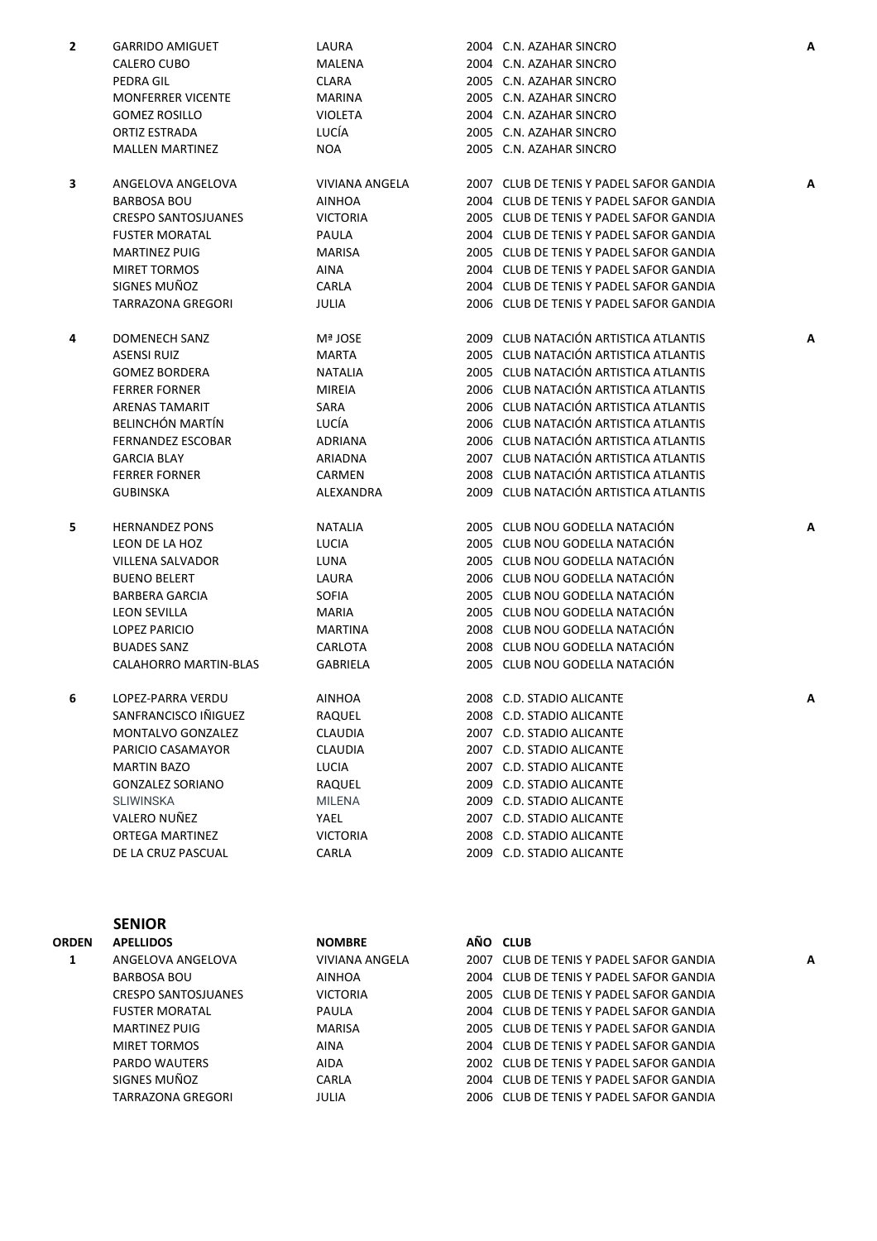| 2 | <b>GARRIDO AMIGUET</b>     | LAURA                 | 2004 C.N. AZAHAR SINCRO                 | Α |
|---|----------------------------|-----------------------|-----------------------------------------|---|
|   | CALERO CUBO                | MALENA                | 2004 C.N. AZAHAR SINCRO                 |   |
|   | <b>PEDRA GIL</b>           | <b>CLARA</b>          | 2005 C.N. AZAHAR SINCRO                 |   |
|   | <b>MONFERRER VICENTE</b>   | <b>MARINA</b>         | 2005 C.N. AZAHAR SINCRO                 |   |
|   | <b>GOMEZ ROSILLO</b>       | <b>VIOLETA</b>        | 2004 C.N. AZAHAR SINCRO                 |   |
|   | ORTIZ ESTRADA              | LUCÍA                 | 2005 C.N. AZAHAR SINCRO                 |   |
|   | <b>MALLEN MARTINEZ</b>     | <b>NOA</b>            | 2005 C.N. AZAHAR SINCRO                 |   |
|   |                            |                       |                                         |   |
| 3 | ANGELOVA ANGELOVA          | <b>VIVIANA ANGELA</b> | 2007 CLUB DE TENIS Y PADEL SAFOR GANDIA | Α |
|   | <b>BARBOSA BOU</b>         | <b>AINHOA</b>         | 2004 CLUB DE TENIS Y PADEL SAFOR GANDIA |   |
|   | <b>CRESPO SANTOSJUANES</b> | <b>VICTORIA</b>       | 2005 CLUB DE TENIS Y PADEL SAFOR GANDIA |   |
|   | <b>FUSTER MORATAL</b>      | PAULA                 | 2004 CLUB DE TENIS Y PADEL SAFOR GANDIA |   |
|   | <b>MARTINEZ PUIG</b>       | <b>MARISA</b>         | 2005 CLUB DE TENIS Y PADEL SAFOR GANDIA |   |
|   | <b>MIRET TORMOS</b>        | <b>AINA</b>           | 2004 CLUB DE TENIS Y PADEL SAFOR GANDIA |   |
|   | SIGNES MUÑOZ               | CARLA                 | 2004 CLUB DE TENIS Y PADEL SAFOR GANDIA |   |
|   | <b>TARRAZONA GREGORI</b>   | JULIA                 | 2006 CLUB DE TENIS Y PADEL SAFOR GANDIA |   |
|   |                            |                       |                                         |   |
| 4 | DOMENECH SANZ              | Mª JOSE               | 2009 CLUB NATACIÓN ARTISTICA ATLANTIS   | A |
|   | <b>ASENSI RUIZ</b>         | <b>MARTA</b>          | 2005 CLUB NATACIÓN ARTISTICA ATLANTIS   |   |
|   | <b>GOMEZ BORDERA</b>       | <b>NATALIA</b>        | 2005 CLUB NATACIÓN ARTISTICA ATLANTIS   |   |
|   | <b>FERRER FORNER</b>       | <b>MIREIA</b>         | 2006 CLUB NATACIÓN ARTISTICA ATLANTIS   |   |
|   | <b>ARENAS TAMARIT</b>      | SARA                  | 2006 CLUB NATACIÓN ARTISTICA ATLANTIS   |   |
|   | <b>BELINCHÓN MARTÍN</b>    | LUCÍA                 | 2006 CLUB NATACIÓN ARTISTICA ATLANTIS   |   |
|   | <b>FERNANDEZ ESCOBAR</b>   | <b>ADRIANA</b>        | 2006 CLUB NATACIÓN ARTISTICA ATLANTIS   |   |
|   | <b>GARCIA BLAY</b>         | ARIADNA               | 2007 CLUB NATACIÓN ARTISTICA ATLANTIS   |   |
|   | <b>FERRER FORNER</b>       | CARMEN                | 2008 CLUB NATACIÓN ARTISTICA ATLANTIS   |   |
|   | <b>GUBINSKA</b>            | ALEXANDRA             | 2009 CLUB NATACIÓN ARTISTICA ATLANTIS   |   |
|   |                            |                       |                                         |   |
| 5 | <b>HERNANDEZ PONS</b>      | <b>NATALIA</b>        | 2005 CLUB NOU GODELLA NATACIÓN          | A |
|   | LEON DE LA HOZ             | <b>LUCIA</b>          | 2005 CLUB NOU GODELLA NATACIÓN          |   |
|   | VILLENA SALVADOR           | LUNA                  | 2005 CLUB NOU GODELLA NATACIÓN          |   |
|   | <b>BUENO BELERT</b>        | LAURA                 | 2006 CLUB NOU GODELLA NATACIÓN          |   |
|   | <b>BARBERA GARCIA</b>      | <b>SOFIA</b>          | 2005 CLUB NOU GODELLA NATACIÓN          |   |
|   | <b>LEON SEVILLA</b>        | MARIA                 | 2005 CLUB NOU GODELLA NATACIÓN          |   |
|   | <b>LOPEZ PARICIO</b>       | <b>MARTINA</b>        | 2008 CLUB NOU GODELLA NATACIÓN          |   |
|   | <b>BUADES SANZ</b>         | CARLOTA               | 2008 CLUB NOU GODELLA NATACIÓN          |   |
|   | CALAHORRO MARTIN-BLAS      | <b>GABRIELA</b>       | 2005 CLUB NOU GODELLA NATACIÓN          |   |
|   |                            |                       |                                         |   |
| 6 | LOPEZ-PARRA VERDU          | <b>AINHOA</b>         | 2008 C.D. STADIO ALICANTE               |   |
|   | SANFRANCISCO IÑIGUEZ       | RAQUEL                | 2008 C.D. STADIO ALICANTE               |   |
|   | <b>MONTALVO GONZALEZ</b>   | <b>CLAUDIA</b>        | 2007 C.D. STADIO ALICANTE               |   |
|   | PARICIO CASAMAYOR          | CLAUDIA               | 2007 C.D. STADIO ALICANTE               |   |
|   | <b>MARTIN BAZO</b>         | LUCIA                 | 2007 C.D. STADIO ALICANTE               |   |
|   | <b>GONZALEZ SORIANO</b>    | RAQUEL                | 2009 C.D. STADIO ALICANTE               |   |
|   | <b>SLIWINSKA</b>           | <b>MILENA</b>         | 2009 C.D. STADIO ALICANTE               |   |
|   | VALERO NUÑEZ               | YAEL                  | 2007 C.D. STADIO ALICANTE               |   |
|   | <b>ORTEGA MARTINEZ</b>     | <b>VICTORIA</b>       | 2008 C.D. STADIO ALICANTE               |   |
|   | DE LA CRUZ PASCUAL         | CARLA                 | 2009 C.D. STADIO ALICANTE               |   |
|   |                            |                       |                                         |   |

|              | <b>SENIOR</b>              |                 |                                         |   |
|--------------|----------------------------|-----------------|-----------------------------------------|---|
| <b>ORDEN</b> | <b>APELLIDOS</b>           | <b>NOMBRE</b>   | AÑO CLUB                                |   |
|              | ANGELOVA ANGELOVA          | VIVIANA ANGELA  | 2007 CLUB DE TENIS Y PADEL SAFOR GANDIA | Α |
|              | BARBOSA BOU                | AINHOA          | 2004 CLUB DE TENIS Y PADEL SAFOR GANDIA |   |
|              | <b>CRESPO SANTOSJUANES</b> | <b>VICTORIA</b> | 2005 CLUB DE TENIS Y PADEL SAFOR GANDIA |   |
|              | <b>FUSTER MORATAL</b>      | PAULA           | 2004 CLUB DE TENIS Y PADEL SAFOR GANDIA |   |
|              | MARTINEZ PUIG              | MARISA          | 2005 CLUB DE TENIS Y PADEL SAFOR GANDIA |   |
|              | MIRET TORMOS               | AINA            | 2004 CLUB DE TENIS Y PADEL SAFOR GANDIA |   |
|              | PARDO WAUTERS              | AIDA            | 2002 CLUB DE TENIS Y PADEL SAFOR GANDIA |   |
|              | SIGNES MUÑOZ               | CARLA           | 2004 CLUB DE TENIS Y PADEL SAFOR GANDIA |   |
|              | TARRAZONA GREGORI          | JULIA           | 2006 CLUB DE TENIS Y PADEL SAFOR GANDIA |   |